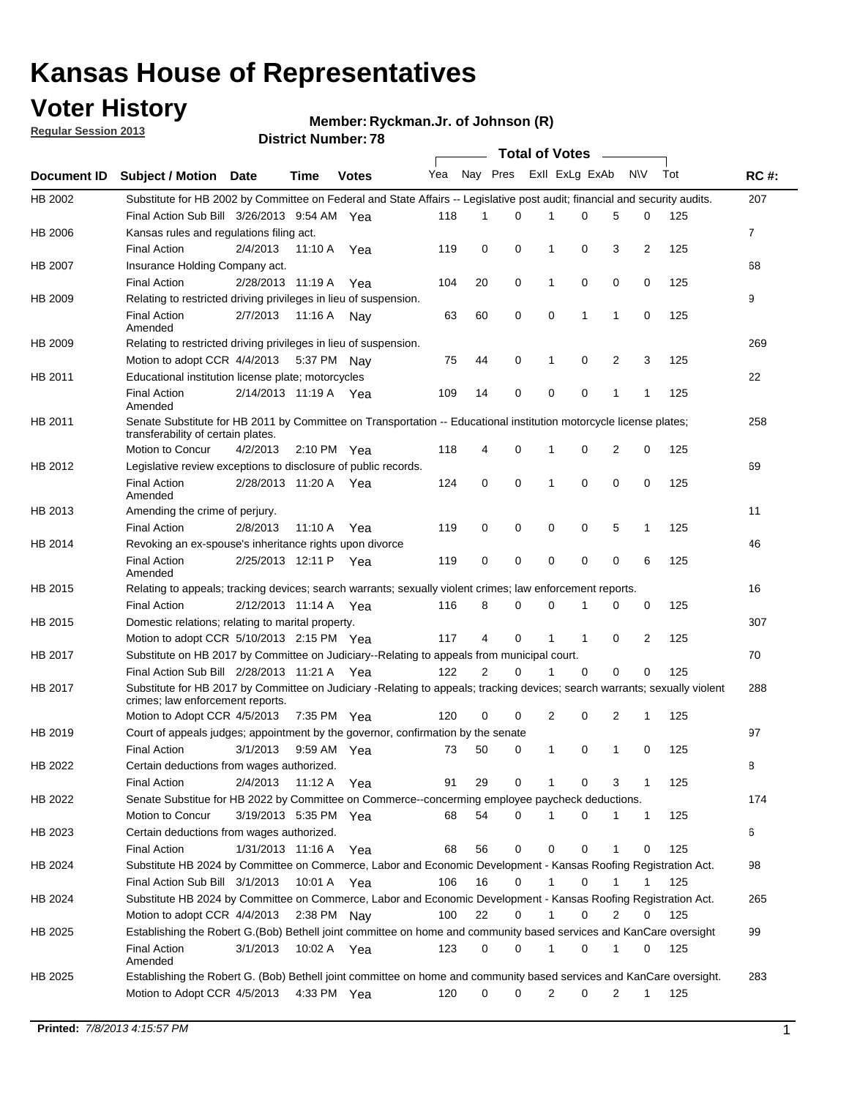## **Voter History**

**Member: Ryckman.Jr. of Johnson (R)** 

**Regular Session 2013**

|                    |                                                                                                                                                                |                       | <b>DISTRICT MAILINGLY</b> |              |     |                | Total of Votes - |                |              |                |              |     |                |
|--------------------|----------------------------------------------------------------------------------------------------------------------------------------------------------------|-----------------------|---------------------------|--------------|-----|----------------|------------------|----------------|--------------|----------------|--------------|-----|----------------|
| <b>Document ID</b> | <b>Subject / Motion</b>                                                                                                                                        | Date                  | <b>Time</b>               | <b>Votes</b> | Yea | Nay Pres       |                  | Exll ExLg ExAb |              |                | N\V          | Tot | <b>RC#:</b>    |
| HB 2002            | Substitute for HB 2002 by Committee on Federal and State Affairs -- Legislative post audit; financial and security audits.                                     |                       |                           |              |     |                |                  |                |              |                |              |     | 207            |
|                    | Final Action Sub Bill 3/26/2013 9:54 AM Yea                                                                                                                    |                       |                           |              | 118 | 1              | 0                | 1              | 0            | 5              | 0            | 125 |                |
| HB 2006            | Kansas rules and regulations filing act.                                                                                                                       |                       |                           |              |     |                |                  |                |              |                |              |     | $\overline{7}$ |
|                    | <b>Final Action</b>                                                                                                                                            | 2/4/2013              | 11:10 A                   | Yea          | 119 | 0              | 0                | 1              | 0            | 3              | 2            | 125 |                |
| HB 2007            | Insurance Holding Company act.                                                                                                                                 |                       |                           |              |     |                |                  |                |              |                |              |     | 68             |
|                    | <b>Final Action</b>                                                                                                                                            | 2/28/2013 11:19 A     |                           | Yea          | 104 | 20             | 0                | 1              | 0            | 0              | 0            | 125 |                |
| HB 2009            | Relating to restricted driving privileges in lieu of suspension.                                                                                               |                       |                           |              |     |                |                  |                |              |                |              |     | 9              |
|                    | <b>Final Action</b><br>Amended                                                                                                                                 | 2/7/2013              | 11:16 A                   | Nav          | 63  | 60             | 0                | 0              | $\mathbf{1}$ | 1              | 0            | 125 |                |
| HB 2009            | Relating to restricted driving privileges in lieu of suspension.                                                                                               |                       |                           |              |     |                |                  |                |              |                |              |     | 269            |
|                    | Motion to adopt CCR 4/4/2013                                                                                                                                   |                       | 5:37 PM Nay               |              | 75  | 44             | 0                | 1              | 0            | 2              | 3            | 125 |                |
| HB 2011            | Educational institution license plate; motorcycles                                                                                                             |                       |                           |              |     |                |                  |                |              |                |              |     | 22             |
|                    | <b>Final Action</b><br>Amended                                                                                                                                 | 2/14/2013 11:19 A     |                           | Yea          | 109 | 14             | 0                | 0              | 0            | 1              | 1            | 125 |                |
| HB 2011            | Senate Substitute for HB 2011 by Committee on Transportation -- Educational institution motorcycle license plates;                                             |                       |                           |              |     |                |                  |                |              |                |              |     | 258            |
|                    | transferability of certain plates.                                                                                                                             |                       |                           |              |     |                |                  |                |              |                |              |     |                |
|                    | Motion to Concur                                                                                                                                               | 4/2/2013              | 2:10 PM $Yea$             |              | 118 | 4              | 0                | 1              | 0            | $\overline{2}$ | 0            | 125 |                |
| HB 2012            | Legislative review exceptions to disclosure of public records.                                                                                                 |                       |                           |              |     |                |                  |                |              |                |              |     | 69             |
|                    | <b>Final Action</b><br>Amended                                                                                                                                 | 2/28/2013 11:20 A Yea |                           |              | 124 | 0              | $\mathbf 0$      | $\mathbf{1}$   | $\mathbf 0$  | 0              | 0            | 125 |                |
| HB 2013            | Amending the crime of perjury.                                                                                                                                 |                       |                           |              |     |                |                  |                |              |                |              |     | 11             |
|                    | <b>Final Action</b>                                                                                                                                            | 2/8/2013              | 11:10 A                   | Yea          | 119 | 0              | 0                | 0              | 0            | 5              | $\mathbf{1}$ | 125 |                |
| HB 2014            | Revoking an ex-spouse's inheritance rights upon divorce                                                                                                        |                       |                           |              |     |                |                  |                |              |                |              |     | 46             |
|                    | <b>Final Action</b><br>Amended                                                                                                                                 | 2/25/2013 12:11 P     |                           | Yea          | 119 | 0              | 0                | 0              | 0            | 0              | 6            | 125 |                |
| HB 2015            | Relating to appeals; tracking devices; search warrants; sexually violent crimes; law enforcement reports.                                                      |                       |                           |              |     |                |                  |                |              |                |              |     | 16             |
|                    | <b>Final Action</b>                                                                                                                                            | 2/12/2013 11:14 A     |                           | Yea          | 116 | 8              | 0                | 0              | 1            | 0              | 0            | 125 |                |
| HB 2015            | Domestic relations; relating to marital property.                                                                                                              |                       |                           |              |     |                |                  |                |              |                |              |     | 307            |
|                    | Motion to adopt CCR 5/10/2013 2:15 PM Yea                                                                                                                      |                       |                           |              | 117 | 4              | $\mathbf 0$      | 1              | 1            | 0              | 2            | 125 |                |
| HB 2017            | Substitute on HB 2017 by Committee on Judiciary--Relating to appeals from municipal court.                                                                     |                       |                           |              |     |                |                  |                |              |                |              |     | 70             |
|                    | Final Action Sub Bill 2/28/2013 11:21 A Yea                                                                                                                    |                       |                           |              | 122 | $\overline{2}$ | 0                | 1              | $\Omega$     | 0              | 0            | 125 |                |
| HB 2017            | Substitute for HB 2017 by Committee on Judiciary -Relating to appeals; tracking devices; search warrants; sexually violent<br>crimes; law enforcement reports. |                       |                           |              |     |                |                  |                |              |                |              |     | 288            |
|                    | Motion to Adopt CCR 4/5/2013                                                                                                                                   |                       | 7:35 PM Yea               |              | 120 | 0              | 0                | 2              | 0            | 2              | 1            | 125 |                |
| HB 2019            | Court of appeals judges; appointment by the governor, confirmation by the senate                                                                               |                       |                           |              |     |                |                  |                |              |                |              |     | 97             |
|                    | <b>Final Action</b>                                                                                                                                            | 3/1/2013              | 9:59 AM Yea               |              | 73  | 50             | 0                | 1              | 0            | 1              | 0            | 125 |                |
| HB 2022            | Certain deductions from wages authorized.                                                                                                                      |                       |                           |              |     |                |                  |                |              |                |              |     | В              |
|                    | <b>Final Action</b>                                                                                                                                            | 2/4/2013              | 11:12 A                   | Yea          | 91  | 29             | 0                |                | 0            | 3              | 1            | 125 |                |
| HB 2022            | Senate Substitue for HB 2022 by Committee on Commerce--concerming employee paycheck deductions.                                                                |                       |                           |              |     |                |                  |                |              |                |              |     | 174            |
|                    | Motion to Concur                                                                                                                                               | 3/19/2013 5:35 PM Yea |                           |              | 68  | 54             | 0                | 1              | 0            | 1              | 1            | 125 |                |
| HB 2023            | Certain deductions from wages authorized.                                                                                                                      |                       |                           |              |     |                |                  |                |              |                |              |     | 6              |
|                    | <b>Final Action</b>                                                                                                                                            | 1/31/2013 11:16 A     |                           | Yea          | 68  | 56             | 0                | 0              | 0            |                | 0            | 125 |                |
| HB 2024            | Substitute HB 2024 by Committee on Commerce, Labor and Economic Development - Kansas Roofing Registration Act.                                                 |                       |                           |              |     |                |                  |                |              |                |              |     | 98             |
|                    | Final Action Sub Bill 3/1/2013                                                                                                                                 |                       | 10:01 A                   | Yea          | 106 | 16             | 0                | 1              | 0            | 1              | 1            | 125 |                |
| HB 2024            | Substitute HB 2024 by Committee on Commerce, Labor and Economic Development - Kansas Roofing Registration Act.                                                 |                       |                           |              |     |                |                  |                |              |                |              |     | 265            |
|                    | Motion to adopt CCR 4/4/2013                                                                                                                                   |                       | 2:38 PM                   | Nav          | 100 | 22             | 0                | 1              | 0            | 2              | 0            | 125 |                |
| HB 2025            | Establishing the Robert G.(Bob) Bethell joint committee on home and community based services and KanCare oversight                                             |                       |                           |              |     |                |                  |                |              |                |              |     | 99             |
|                    | <b>Final Action</b><br>Amended                                                                                                                                 | 3/1/2013              | 10:02 A Yea               |              | 123 | 0              | 0                | 1              | 0            | 1              | 0            | 125 |                |
| HB 2025            | Establishing the Robert G. (Bob) Bethell joint committee on home and community based services and KanCare oversight.                                           |                       |                           |              |     |                |                  |                |              |                |              |     | 283            |
|                    | Motion to Adopt CCR 4/5/2013                                                                                                                                   |                       | 4:33 PM Yea               |              | 120 | 0              | 0                | $\overline{c}$ | 0            | $\overline{2}$ | 1            | 125 |                |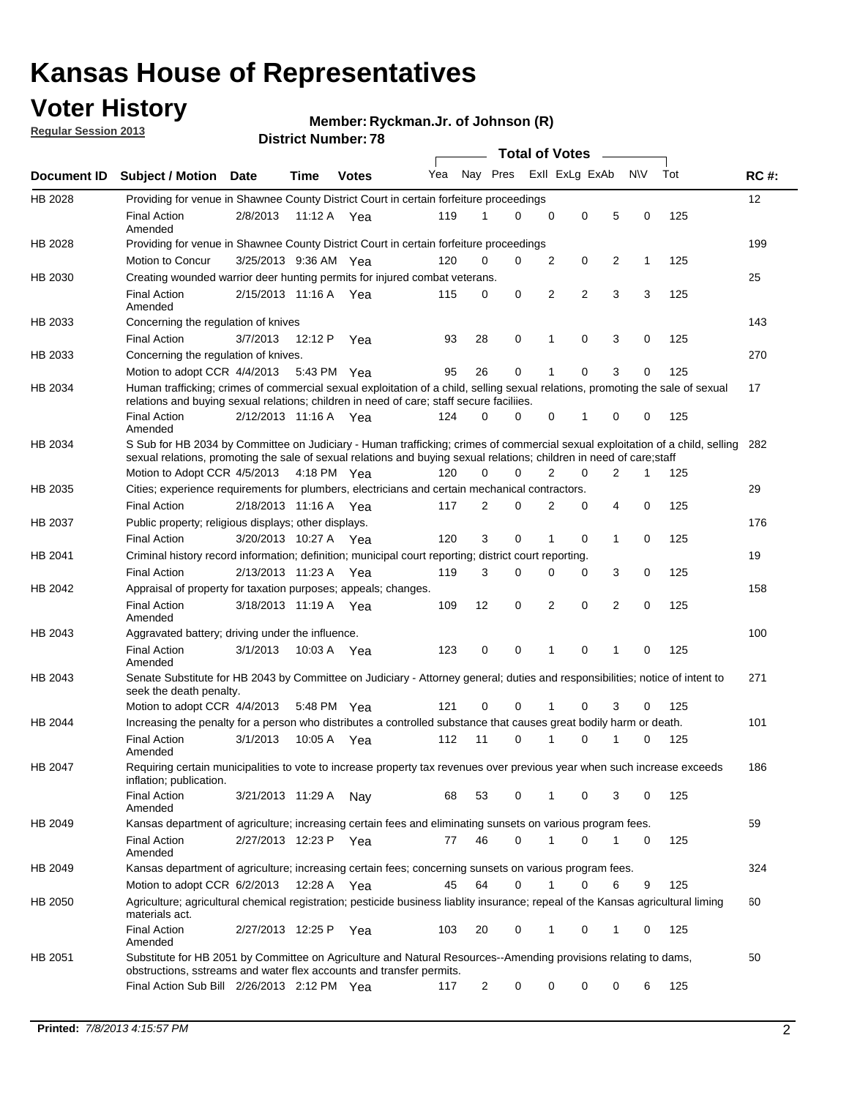## **Voter History**

**Regular Session 2013**

#### **Member: Ryckman.Jr. of Johnson (R)**

|             |                                                                                                                                                                                                                                                        |                       |         | DISTRICT NUMBER 7 0 |     |                |             |                | <b>Total of Votes</b>   | $\sim$ |              |     |                   |
|-------------|--------------------------------------------------------------------------------------------------------------------------------------------------------------------------------------------------------------------------------------------------------|-----------------------|---------|---------------------|-----|----------------|-------------|----------------|-------------------------|--------|--------------|-----|-------------------|
| Document ID | <b>Subject / Motion</b>                                                                                                                                                                                                                                | Date                  | Time    | <b>Votes</b>        | Yea |                |             |                | Nay Pres Exll ExLg ExAb |        | <b>NV</b>    | Tot | <b>RC#:</b>       |
| HB 2028     | Providing for venue in Shawnee County District Court in certain forfeiture proceedings                                                                                                                                                                 |                       |         |                     |     |                |             |                |                         |        |              |     | $12 \overline{ }$ |
|             | <b>Final Action</b><br>Amended                                                                                                                                                                                                                         | 2/8/2013              |         | 11:12 A $Yea$       | 119 |                | 0           | $\Omega$       | 0                       | 5      | 0            | 125 |                   |
| HB 2028     | Providing for venue in Shawnee County District Court in certain forfeiture proceedings                                                                                                                                                                 |                       |         |                     |     |                |             |                |                         |        |              |     | 199               |
|             | Motion to Concur                                                                                                                                                                                                                                       | 3/25/2013 9:36 AM Yea |         |                     | 120 | 0              | 0           | $\overline{2}$ | 0                       | 2      | $\mathbf{1}$ | 125 |                   |
| HB 2030     | Creating wounded warrior deer hunting permits for injured combat veterans.                                                                                                                                                                             |                       |         |                     |     |                |             |                |                         |        |              |     | 25                |
|             | <b>Final Action</b><br>Amended                                                                                                                                                                                                                         | 2/15/2013 11:16 A     |         | Yea                 | 115 | 0              | $\mathbf 0$ | $\overline{2}$ | $\overline{2}$          | 3      | 3            | 125 |                   |
| HB 2033     | Concerning the regulation of knives                                                                                                                                                                                                                    |                       |         |                     |     |                |             |                |                         |        |              |     | 143               |
|             | <b>Final Action</b>                                                                                                                                                                                                                                    | 3/7/2013              | 12:12 P | Yea                 | 93  | 28             | 0           | 1              | 0                       | 3      | 0            | 125 |                   |
| HB 2033     | Concerning the regulation of knives.                                                                                                                                                                                                                   |                       |         |                     |     |                |             |                |                         |        |              |     | 270               |
|             | Motion to adopt CCR 4/4/2013 5:43 PM Yea                                                                                                                                                                                                               |                       |         |                     | 95  | 26             | 0           |                | $\Omega$                | 3      | 0            | 125 |                   |
| HB 2034     | Human trafficking; crimes of commercial sexual exploitation of a child, selling sexual relations, promoting the sale of sexual<br>relations and buying sexual relations; children in need of care; staff secure faciliies.                             |                       |         |                     |     |                |             |                |                         |        |              |     | 17                |
|             | <b>Final Action</b><br>Amended                                                                                                                                                                                                                         | 2/12/2013 11:16 A Yea |         |                     | 124 | 0              | 0           | 0              | 1                       | 0      | 0            | 125 |                   |
| HB 2034     | S Sub for HB 2034 by Committee on Judiciary - Human trafficking; crimes of commercial sexual exploitation of a child, selling<br>sexual relations, promoting the sale of sexual relations and buying sexual relations; children in need of care; staff |                       |         |                     |     |                |             |                |                         |        |              |     | 282               |
|             | Motion to Adopt CCR 4/5/2013 4:18 PM Yea                                                                                                                                                                                                               |                       |         |                     | 120 | 0              | $\Omega$    | 2              | 0                       | 2      | 1            | 125 |                   |
| HB 2035     | Cities; experience requirements for plumbers, electricians and certain mechanical contractors.                                                                                                                                                         |                       |         |                     |     |                |             |                |                         |        |              |     | 29                |
|             | <b>Final Action</b>                                                                                                                                                                                                                                    | 2/18/2013 11:16 A     |         | Yea                 | 117 | 2              | 0           | 2              | 0                       | 4      | 0            | 125 |                   |
| HB 2037     | Public property; religious displays; other displays.                                                                                                                                                                                                   |                       |         |                     |     |                |             |                |                         |        |              |     | 176               |
|             | <b>Final Action</b>                                                                                                                                                                                                                                    | 3/20/2013 10:27 A     |         | Yea                 | 120 | 3              | 0           | 1              | 0                       | 1      | 0            | 125 |                   |
| HB 2041     | Criminal history record information; definition; municipal court reporting; district court reporting.                                                                                                                                                  |                       |         |                     |     |                |             |                |                         |        |              |     | 19                |
|             | <b>Final Action</b>                                                                                                                                                                                                                                    | 2/13/2013 11:23 A     |         | Yea                 | 119 | 3              | 0           | 0              | 0                       | 3      | 0            | 125 |                   |
| HB 2042     | Appraisal of property for taxation purposes; appeals; changes.                                                                                                                                                                                         |                       |         |                     |     |                |             |                |                         |        |              |     | 158               |
|             | <b>Final Action</b><br>Amended                                                                                                                                                                                                                         | 3/18/2013 11:19 A     |         | Yea                 | 109 | 12             | 0           | 2              | 0                       | 2      | 0            | 125 |                   |
| HB 2043     | Aggravated battery; driving under the influence.                                                                                                                                                                                                       |                       |         |                     |     |                |             |                |                         |        |              |     | 100               |
|             | <b>Final Action</b><br>Amended                                                                                                                                                                                                                         | 3/1/2013              |         | 10:03 A Yea         | 123 | 0              | 0           | 1              | $\Omega$                | 1      | 0            | 125 |                   |
| HB 2043     | Senate Substitute for HB 2043 by Committee on Judiciary - Attorney general; duties and responsibilities; notice of intent to<br>seek the death penalty.                                                                                                |                       |         |                     |     |                |             |                |                         |        |              |     | 271               |
|             | Motion to adopt CCR 4/4/2013                                                                                                                                                                                                                           |                       |         | 5:48 PM Yea         | 121 | 0              | 0           | 1              | $\Omega$                | 3      | 0            | 125 |                   |
| HB 2044     | Increasing the penalty for a person who distributes a controlled substance that causes great bodily harm or death.                                                                                                                                     |                       |         |                     |     |                |             |                |                         |        |              |     | 101               |
|             | <b>Final Action</b><br>Amended                                                                                                                                                                                                                         | 3/1/2013              | 10:05 A | Yea                 | 112 | 11             | 0           | 1              | 0                       |        | 0            | 125 |                   |
| HB 2047     | Requiring certain municipalities to vote to increase property tax revenues over previous year when such increase exceeds<br>inflation; publication.                                                                                                    |                       |         |                     |     |                |             |                |                         |        |              |     | 186               |
|             | <b>Final Action</b><br>Amended                                                                                                                                                                                                                         | 3/21/2013 11:29 A Nay |         |                     | 68  | 53             | 0           | $\mathbf 1$    | 0                       | 3      | 0            | 125 |                   |
| HB 2049     | Kansas department of agriculture; increasing certain fees and eliminating sunsets on various program fees.                                                                                                                                             |                       |         |                     |     |                |             |                |                         |        |              |     | 59                |
|             | <b>Final Action</b><br>Amended                                                                                                                                                                                                                         | 2/27/2013 12:23 P Yea |         |                     | 77  | 46             | $\mathbf 0$ | $\mathbf{1}$   | 0                       | 1      | 0            | 125 |                   |
| HB 2049     | Kansas department of agriculture; increasing certain fees; concerning sunsets on various program fees.                                                                                                                                                 |                       |         |                     |     |                |             |                |                         |        |              |     | 324               |
|             | Motion to adopt CCR 6/2/2013                                                                                                                                                                                                                           |                       | 12:28 A | Yea                 | 45  | 64             | 0           | 1              | 0                       | 6      | 9            | 125 |                   |
| HB 2050     | Agriculture; agricultural chemical registration; pesticide business liablity insurance; repeal of the Kansas agricultural liming<br>materials act.                                                                                                     |                       |         |                     |     |                |             |                |                         |        |              |     | 60                |
|             | <b>Final Action</b><br>Amended                                                                                                                                                                                                                         | 2/27/2013 12:25 P     |         | Yea                 | 103 | 20             | 0           | $\mathbf{1}$   | 0                       | 1      | 0            | 125 |                   |
| HB 2051     | Substitute for HB 2051 by Committee on Agriculture and Natural Resources--Amending provisions relating to dams,<br>obstructions, sstreams and water flex accounts and transfer permits.                                                                |                       |         |                     |     |                |             |                |                         |        |              |     | 50                |
|             | Final Action Sub Bill 2/26/2013 2:12 PM Yea                                                                                                                                                                                                            |                       |         |                     | 117 | $\overline{2}$ | 0           | 0              | 0                       | 0      | 6            | 125 |                   |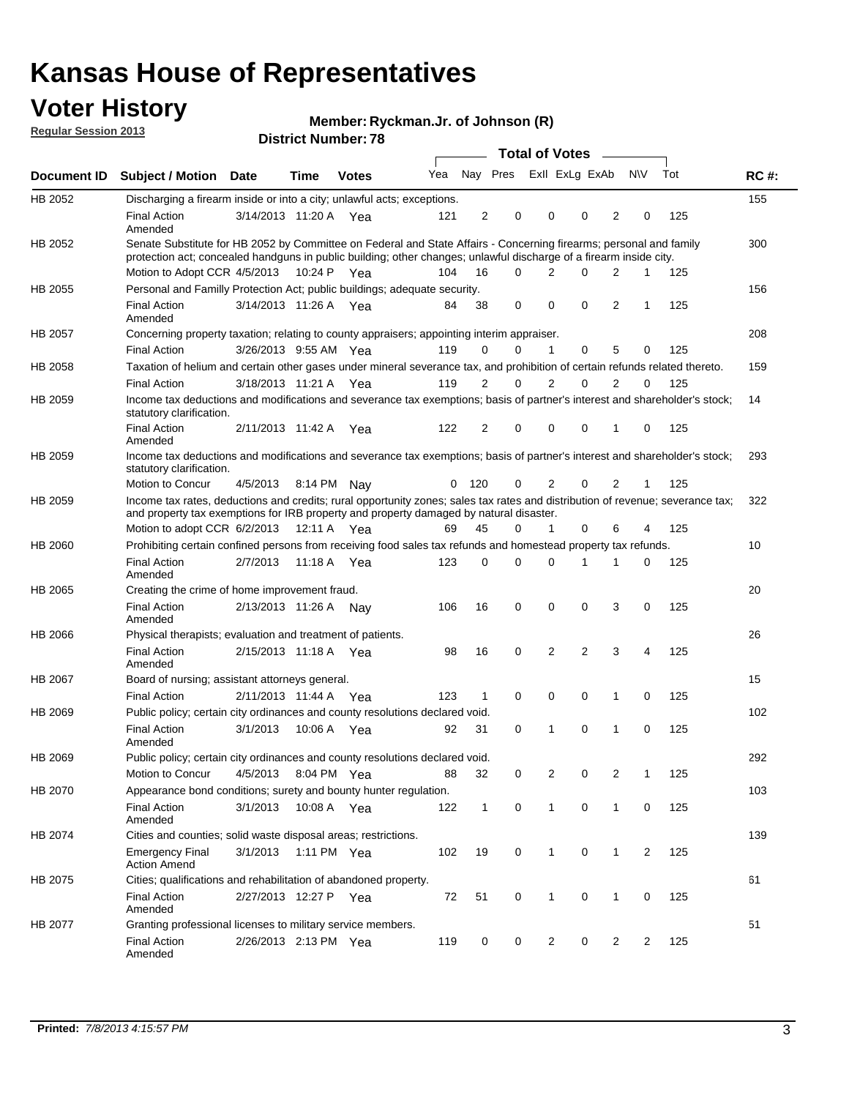## **Voter History**

**Member: Ryckman.Jr. of Johnson (R)** 

**Regular Session 2013**

|                    |                                                                                                                                                                                                                                          |                       |         | <b>DISUIGLIVAIIIDEL.</b> |     |                |             | Total of Votes – |                |                |                |                |     |             |
|--------------------|------------------------------------------------------------------------------------------------------------------------------------------------------------------------------------------------------------------------------------------|-----------------------|---------|--------------------------|-----|----------------|-------------|------------------|----------------|----------------|----------------|----------------|-----|-------------|
| <b>Document ID</b> | <b>Subject / Motion</b>                                                                                                                                                                                                                  | Date                  | Time    | <b>Votes</b>             | Yea |                | Nay Pres    |                  | Exll ExLg ExAb |                |                | <b>NV</b>      | Tot | <b>RC#:</b> |
| HB 2052            | Discharging a firearm inside or into a city; unlawful acts; exceptions.                                                                                                                                                                  |                       |         |                          |     |                |             |                  |                |                |                |                |     | 155         |
|                    | <b>Final Action</b><br>Amended                                                                                                                                                                                                           | 3/14/2013 11:20 A Yea |         |                          | 121 | 2              | $\mathbf 0$ |                  | 0              | 0              | 2              | 0              | 125 |             |
| HB 2052            | Senate Substitute for HB 2052 by Committee on Federal and State Affairs - Concerning firearms; personal and family<br>protection act; concealed handguns in public building; other changes; unlawful discharge of a firearm inside city. |                       |         |                          |     |                |             |                  |                |                |                |                |     | 300         |
|                    | Motion to Adopt CCR 4/5/2013 10:24 P Yea                                                                                                                                                                                                 |                       |         |                          | 104 | 16             | $\Omega$    |                  | 2              | 0              | 2              | 1              | 125 |             |
| HB 2055            | Personal and Familly Protection Act; public buildings; adequate security.                                                                                                                                                                |                       |         |                          |     |                |             |                  |                |                |                |                |     | 156         |
|                    | <b>Final Action</b><br>Amended                                                                                                                                                                                                           | 3/14/2013 11:26 A Yea |         |                          | 84  | 38             | 0           |                  | 0              | 0              | $\overline{2}$ | 1              | 125 |             |
| HB 2057            | Concerning property taxation; relating to county appraisers; appointing interim appraiser.                                                                                                                                               |                       |         |                          |     |                |             |                  |                |                |                |                |     | 208         |
|                    | <b>Final Action</b>                                                                                                                                                                                                                      | 3/26/2013 9:55 AM Yea |         |                          | 119 | 0              | 0           |                  | 1              | 0              | 5              | 0              | 125 |             |
| HB 2058            | Taxation of helium and certain other gases under mineral severance tax, and prohibition of certain refunds related thereto.                                                                                                              |                       |         |                          |     |                |             |                  |                |                |                |                |     | 159         |
|                    | <b>Final Action</b>                                                                                                                                                                                                                      | 3/18/2013 11:21 A Yea |         |                          | 119 | 2              | 0           |                  | 2              | 0              | 2              | 0              | 125 |             |
| HB 2059            | Income tax deductions and modifications and severance tax exemptions; basis of partner's interest and shareholder's stock;<br>statutory clarification.                                                                                   |                       |         |                          |     |                |             |                  |                |                |                |                |     | 14          |
|                    | <b>Final Action</b><br>Amended                                                                                                                                                                                                           | 2/11/2013 11:42 A     |         | Yea                      | 122 | $\overline{2}$ | 0           |                  | $\Omega$       | 0              | 1              | 0              | 125 |             |
| HB 2059            | Income tax deductions and modifications and severance tax exemptions; basis of partner's interest and shareholder's stock;<br>statutory clarification.                                                                                   |                       |         |                          |     |                |             |                  |                |                |                |                |     | 293         |
|                    | Motion to Concur                                                                                                                                                                                                                         | 4/5/2013              |         | 8:14 PM Nav              | 0   | 120            | 0           |                  | 2              | $\Omega$       | 2              | $\mathbf{1}$   | 125 |             |
| HB 2059            | Income tax rates, deductions and credits; rural opportunity zones; sales tax rates and distribution of revenue; severance tax;<br>and property tax exemptions for IRB property and property damaged by natural disaster.                 |                       |         |                          |     |                |             |                  |                |                |                |                |     | 322         |
|                    | Motion to adopt CCR $6/2/2013$ 12:11 A Yea                                                                                                                                                                                               |                       |         |                          | 69  | 45             | 0           |                  | $\mathbf{1}$   | 0              | 6              | 4              | 125 |             |
| HB 2060            | Prohibiting certain confined persons from receiving food sales tax refunds and homestead property tax refunds.                                                                                                                           |                       |         |                          |     |                |             |                  |                |                |                |                |     | 10          |
|                    | <b>Final Action</b><br>Amended                                                                                                                                                                                                           | 2/7/2013              | 11:18 A | Yea                      | 123 | $\mathbf 0$    | $\Omega$    |                  | $\Omega$       |                | 1              | $\Omega$       | 125 |             |
| HB 2065            | Creating the crime of home improvement fraud.                                                                                                                                                                                            |                       |         |                          |     |                |             |                  |                |                |                |                |     | 20          |
|                    | <b>Final Action</b><br>Amended                                                                                                                                                                                                           | 2/13/2013 11:26 A Nay |         |                          | 106 | 16             | $\mathbf 0$ |                  | 0              | 0              | 3              | 0              | 125 |             |
| HB 2066            | Physical therapists; evaluation and treatment of patients.                                                                                                                                                                               |                       |         |                          |     |                |             |                  |                |                |                |                |     | 26          |
|                    | <b>Final Action</b><br>Amended                                                                                                                                                                                                           | 2/15/2013 11:18 A Yea |         |                          | 98  | 16             | 0           |                  | 2              | $\overline{2}$ | 3              | 4              | 125 |             |
| HB 2067            | Board of nursing; assistant attorneys general.                                                                                                                                                                                           |                       |         |                          |     |                |             |                  |                |                |                |                |     | 15          |
|                    | <b>Final Action</b>                                                                                                                                                                                                                      | 2/11/2013 11:44 A Yea |         |                          | 123 | 1              | $\mathbf 0$ |                  | 0              | 0              | 1              | 0              | 125 |             |
| HB 2069            | Public policy; certain city ordinances and county resolutions declared void.                                                                                                                                                             |                       |         |                          |     |                |             |                  |                |                |                |                |     | 102         |
|                    | <b>Final Action</b><br>Amended                                                                                                                                                                                                           | 3/1/2013              |         | 10:06 A Yea              | 92  | 31             | $\Omega$    |                  | 1              | $\Omega$       | 1              | $\Omega$       | 125 |             |
| HB 2069            | Public policy; certain city ordinances and county resolutions declared void.                                                                                                                                                             |                       |         |                          |     |                |             |                  |                |                |                |                |     | 292         |
|                    | Motion to Concur                                                                                                                                                                                                                         | 4/5/2013              |         | 8:04 PM Yea              | 88  | 32             | 0           |                  | $\overline{2}$ | 0              | 2              | 1              | 125 |             |
| HB 2070            | Appearance bond conditions; surety and bounty hunter regulation.                                                                                                                                                                         |                       |         |                          |     |                |             |                  |                |                |                |                |     | 103         |
|                    | <b>Final Action</b><br>Amended                                                                                                                                                                                                           | 3/1/2013              |         | 10:08 A Yea              | 122 | $\mathbf{1}$   | 0           |                  | $\mathbf{1}$   | 0              | $\mathbf{1}$   | 0              | 125 |             |
| HB 2074            | Cities and counties; solid waste disposal areas; restrictions.                                                                                                                                                                           |                       |         |                          |     |                |             |                  |                |                |                |                |     | 139         |
|                    | <b>Emergency Final</b><br><b>Action Amend</b>                                                                                                                                                                                            | 3/1/2013              |         | 1:11 PM Yea              | 102 | 19             | 0           |                  | $\mathbf{1}$   | 0              | 1              | $\overline{2}$ | 125 |             |
| HB 2075            | Cities; qualifications and rehabilitation of abandoned property.                                                                                                                                                                         |                       |         |                          |     |                |             |                  |                |                |                |                |     | 61          |
|                    | <b>Final Action</b><br>Amended                                                                                                                                                                                                           | 2/27/2013 12:27 P Yea |         |                          | 72  | 51             | 0           |                  | $\mathbf{1}$   | 0              | 1              | 0              | 125 |             |
| HB 2077            | Granting professional licenses to military service members.<br><b>Final Action</b><br>Amended                                                                                                                                            | 2/26/2013 2:13 PM Yea |         |                          | 119 | 0              | 0           |                  | 2              | 0              | 2              | 2              | 125 | 51          |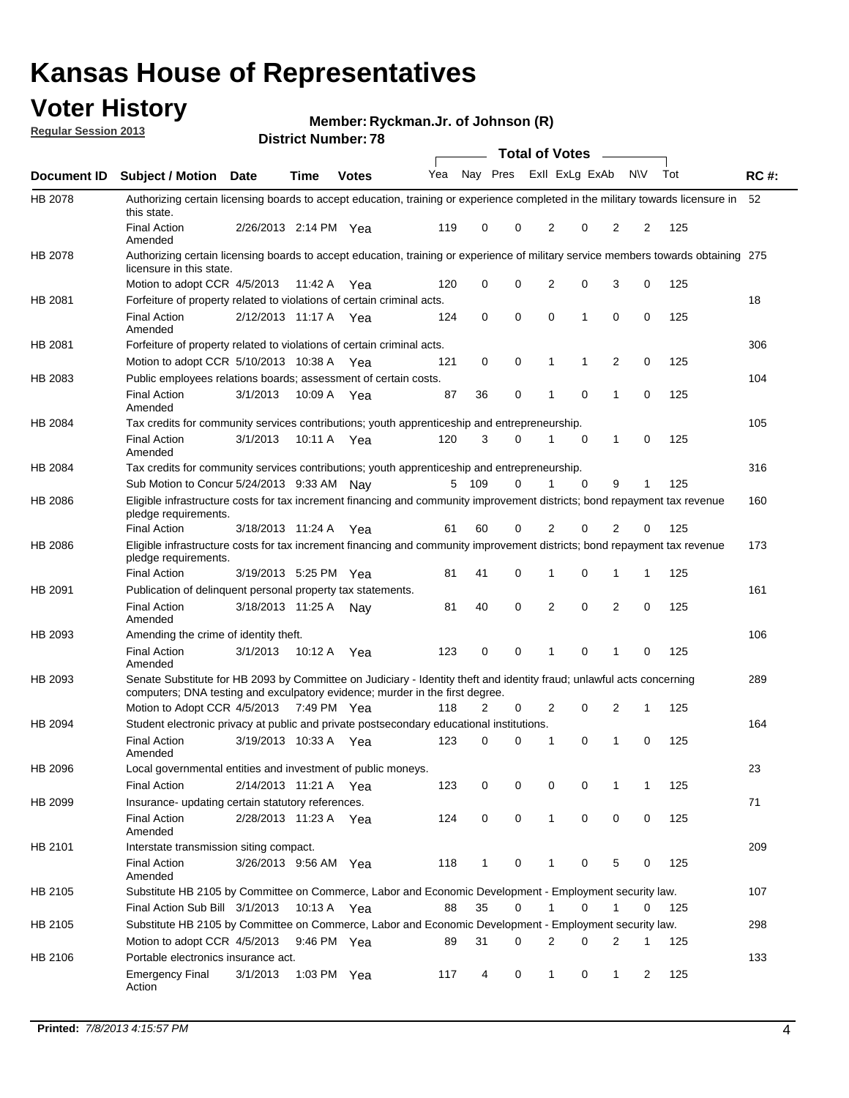## **Voter History**

**Member: Ryckman.Jr. of Johnson (R)** 

**Regular Session 2013**

| Total of Votes –<br>Nay Pres<br>Exll ExLg ExAb<br>Tot<br>Yea<br><b>NV</b><br><b>RC#:</b><br>Document ID<br><b>Subject / Motion</b><br>Date<br>Time<br><b>Votes</b><br>HB 2078<br>52<br>Authorizing certain licensing boards to accept education, training or experience completed in the military towards licensure in<br>this state.<br><b>Final Action</b><br>2/26/2013 2:14 PM<br>119<br>0<br>0<br>2<br>0<br>2<br>2<br>125<br>Yea<br>Amended<br>HB 2078<br>Authorizing certain licensing boards to accept education, training or experience of military service members towards obtaining 275<br>licensure in this state.<br>0<br>0<br>$\overline{2}$<br>0<br>0<br>3<br>125<br>Motion to adopt CCR 4/5/2013<br>120<br>11:42 A<br>Yea<br>18<br>HB 2081<br>Forfeiture of property related to violations of certain criminal acts.<br>2/12/2013 11:17 A Yea<br>0<br>0<br>0<br>$\mathbf{1}$<br>0<br>0<br>125<br><b>Final Action</b><br>124<br>Amended<br>306<br>HB 2081<br>Forfeiture of property related to violations of certain criminal acts.<br>0<br>0<br>2<br>0<br>125<br>Motion to adopt CCR 5/10/2013 10:38 A<br>121<br>1<br>1<br>Yea<br>104<br>HB 2083<br>Public employees relations boards; assessment of certain costs.<br><b>Final Action</b><br>36<br>0<br>$\mathbf 0$<br>0<br>125<br>3/1/2013<br>10:09 A<br>87<br>1<br>1<br>Yea<br>Amended<br>105<br><b>HB 2084</b><br>Tax credits for community services contributions; youth apprenticeship and entrepreneurship.<br><b>Final Action</b><br>3/1/2013<br>120<br>3<br>$\mathbf 0$<br>125<br>10:11 A<br>0<br>1<br>0<br>1<br>Yea<br>Amended<br>316<br>HB 2084<br>Tax credits for community services contributions; youth apprenticeship and entrepreneurship.<br>109<br>0<br>$\Omega$<br>9<br>Sub Motion to Concur 5/24/2013 9:33 AM Nay<br>5<br>1<br>125<br>1<br>Eligible infrastructure costs for tax increment financing and community improvement districts; bond repayment tax revenue<br>HB 2086<br>160<br>pledge requirements.<br>$\Omega$<br><b>Final Action</b><br>60<br>0<br>2<br>2<br>125<br>3/18/2013 11:24 A<br>61<br>0<br>Yea<br>173<br>HB 2086<br>Eligible infrastructure costs for tax increment financing and community improvement districts; bond repayment tax revenue<br>pledge requirements.<br><b>Final Action</b><br>3/19/2013 5:25 PM Yea<br>81<br>41<br>0<br>1<br>0<br>1<br>1<br>125<br>161<br>HB 2091<br>Publication of delinquent personal property tax statements.<br>$\mathbf 0$<br><b>Final Action</b><br>40<br>0<br>2<br>2<br>0<br>125<br>3/18/2013 11:25 A<br>81<br>Nay<br>Amended<br>106<br>HB 2093<br>Amending the crime of identity theft.<br><b>Final Action</b><br>3/1/2013<br>10:12 A<br>123<br>0<br>0<br>0<br>125<br>1<br>1<br>0<br>Yea<br>Amended<br>Senate Substitute for HB 2093 by Committee on Judiciary - Identity theft and identity fraud; unlawful acts concerning<br>HB 2093<br>289<br>computers; DNA testing and exculpatory evidence; murder in the first degree.<br>Motion to Adopt CCR 4/5/2013 7:49 PM Yea<br>118<br>2<br>2<br>0<br>2<br>125<br>0<br>1<br>HB 2094<br>Student electronic privacy at public and private postsecondary educational institutions.<br>164<br><b>Final Action</b><br>3/19/2013 10:33 A<br>123<br>0<br>$\Omega$<br>0<br>125<br>0<br>Yea<br>1<br>1<br>Amended<br>HB 2096<br>Local governmental entities and investment of public moneys.<br>23<br><b>Final Action</b><br>2/14/2013 11:21 A Yea<br>123<br>0<br>0<br>0<br>0<br>125<br>1<br>1<br>71<br>HB 2099<br>Insurance- updating certain statutory references.<br>0<br>0<br>0<br>0<br>124<br>0<br>125<br><b>Final Action</b><br>2/28/2013 11:23 A Yea<br>$\mathbf{1}$<br>Amended<br>209<br>HB 2101<br>Interstate transmission siting compact.<br><b>Final Action</b><br>$\mathbf{1}$<br>5<br>125<br>3/26/2013 9:56 AM Yea<br>118<br>0<br>1<br>0<br>0<br>Amended<br>Substitute HB 2105 by Committee on Commerce, Labor and Economic Development - Employment security law.<br>HB 2105<br>107<br>35<br>Final Action Sub Bill 3/1/2013<br>10:13 A Yea<br>88<br>0<br>0<br>1<br>0<br>1<br>125<br>Substitute HB 2105 by Committee on Commerce, Labor and Economic Development - Employment security law.<br>298<br>HB 2105<br>Motion to adopt CCR 4/5/2013<br>31<br>2<br>9:46 PM Yea<br>89<br>0<br>0<br>2<br>1<br>125<br>133<br>HB 2106<br>Portable electronics insurance act.<br>0<br>125<br><b>Emergency Final</b><br>3/1/2013<br>1:03 PM $Yea$<br>117<br>4<br>$\mathbf{1}$<br>0<br>$\mathbf{1}$<br>2<br>Action |  |  | <b>DISTRICT NUMBER</b> : 10 |  |  |  |  |  |
|---------------------------------------------------------------------------------------------------------------------------------------------------------------------------------------------------------------------------------------------------------------------------------------------------------------------------------------------------------------------------------------------------------------------------------------------------------------------------------------------------------------------------------------------------------------------------------------------------------------------------------------------------------------------------------------------------------------------------------------------------------------------------------------------------------------------------------------------------------------------------------------------------------------------------------------------------------------------------------------------------------------------------------------------------------------------------------------------------------------------------------------------------------------------------------------------------------------------------------------------------------------------------------------------------------------------------------------------------------------------------------------------------------------------------------------------------------------------------------------------------------------------------------------------------------------------------------------------------------------------------------------------------------------------------------------------------------------------------------------------------------------------------------------------------------------------------------------------------------------------------------------------------------------------------------------------------------------------------------------------------------------------------------------------------------------------------------------------------------------------------------------------------------------------------------------------------------------------------------------------------------------------------------------------------------------------------------------------------------------------------------------------------------------------------------------------------------------------------------------------------------------------------------------------------------------------------------------------------------------------------------------------------------------------------------------------------------------------------------------------------------------------------------------------------------------------------------------------------------------------------------------------------------------------------------------------------------------------------------------------------------------------------------------------------------------------------------------------------------------------------------------------------------------------------------------------------------------------------------------------------------------------------------------------------------------------------------------------------------------------------------------------------------------------------------------------------------------------------------------------------------------------------------------------------------------------------------------------------------------------------------------------------------------------------------------------------------------------------------------------------------------------------------------------------------------------------------------------------------------------------------------------------------------------------------------------------------------------------------------------------------------------------------------------------------------------------------------------------------------------------------------------------------------------------------------------------------------------------------------------------------------------------------------------------------------------------------------------------------------------------------------------------------------------------------------------------------------------------------------------------------|--|--|-----------------------------|--|--|--|--|--|
|                                                                                                                                                                                                                                                                                                                                                                                                                                                                                                                                                                                                                                                                                                                                                                                                                                                                                                                                                                                                                                                                                                                                                                                                                                                                                                                                                                                                                                                                                                                                                                                                                                                                                                                                                                                                                                                                                                                                                                                                                                                                                                                                                                                                                                                                                                                                                                                                                                                                                                                                                                                                                                                                                                                                                                                                                                                                                                                                                                                                                                                                                                                                                                                                                                                                                                                                                                                                                                                                                                                                                                                                                                                                                                                                                                                                                                                                                                                                                                                                                                                                                                                                                                                                                                                                                                                                                                                                                                                                                                         |  |  |                             |  |  |  |  |  |
|                                                                                                                                                                                                                                                                                                                                                                                                                                                                                                                                                                                                                                                                                                                                                                                                                                                                                                                                                                                                                                                                                                                                                                                                                                                                                                                                                                                                                                                                                                                                                                                                                                                                                                                                                                                                                                                                                                                                                                                                                                                                                                                                                                                                                                                                                                                                                                                                                                                                                                                                                                                                                                                                                                                                                                                                                                                                                                                                                                                                                                                                                                                                                                                                                                                                                                                                                                                                                                                                                                                                                                                                                                                                                                                                                                                                                                                                                                                                                                                                                                                                                                                                                                                                                                                                                                                                                                                                                                                                                                         |  |  |                             |  |  |  |  |  |
|                                                                                                                                                                                                                                                                                                                                                                                                                                                                                                                                                                                                                                                                                                                                                                                                                                                                                                                                                                                                                                                                                                                                                                                                                                                                                                                                                                                                                                                                                                                                                                                                                                                                                                                                                                                                                                                                                                                                                                                                                                                                                                                                                                                                                                                                                                                                                                                                                                                                                                                                                                                                                                                                                                                                                                                                                                                                                                                                                                                                                                                                                                                                                                                                                                                                                                                                                                                                                                                                                                                                                                                                                                                                                                                                                                                                                                                                                                                                                                                                                                                                                                                                                                                                                                                                                                                                                                                                                                                                                                         |  |  |                             |  |  |  |  |  |
|                                                                                                                                                                                                                                                                                                                                                                                                                                                                                                                                                                                                                                                                                                                                                                                                                                                                                                                                                                                                                                                                                                                                                                                                                                                                                                                                                                                                                                                                                                                                                                                                                                                                                                                                                                                                                                                                                                                                                                                                                                                                                                                                                                                                                                                                                                                                                                                                                                                                                                                                                                                                                                                                                                                                                                                                                                                                                                                                                                                                                                                                                                                                                                                                                                                                                                                                                                                                                                                                                                                                                                                                                                                                                                                                                                                                                                                                                                                                                                                                                                                                                                                                                                                                                                                                                                                                                                                                                                                                                                         |  |  |                             |  |  |  |  |  |
|                                                                                                                                                                                                                                                                                                                                                                                                                                                                                                                                                                                                                                                                                                                                                                                                                                                                                                                                                                                                                                                                                                                                                                                                                                                                                                                                                                                                                                                                                                                                                                                                                                                                                                                                                                                                                                                                                                                                                                                                                                                                                                                                                                                                                                                                                                                                                                                                                                                                                                                                                                                                                                                                                                                                                                                                                                                                                                                                                                                                                                                                                                                                                                                                                                                                                                                                                                                                                                                                                                                                                                                                                                                                                                                                                                                                                                                                                                                                                                                                                                                                                                                                                                                                                                                                                                                                                                                                                                                                                                         |  |  |                             |  |  |  |  |  |
|                                                                                                                                                                                                                                                                                                                                                                                                                                                                                                                                                                                                                                                                                                                                                                                                                                                                                                                                                                                                                                                                                                                                                                                                                                                                                                                                                                                                                                                                                                                                                                                                                                                                                                                                                                                                                                                                                                                                                                                                                                                                                                                                                                                                                                                                                                                                                                                                                                                                                                                                                                                                                                                                                                                                                                                                                                                                                                                                                                                                                                                                                                                                                                                                                                                                                                                                                                                                                                                                                                                                                                                                                                                                                                                                                                                                                                                                                                                                                                                                                                                                                                                                                                                                                                                                                                                                                                                                                                                                                                         |  |  |                             |  |  |  |  |  |
|                                                                                                                                                                                                                                                                                                                                                                                                                                                                                                                                                                                                                                                                                                                                                                                                                                                                                                                                                                                                                                                                                                                                                                                                                                                                                                                                                                                                                                                                                                                                                                                                                                                                                                                                                                                                                                                                                                                                                                                                                                                                                                                                                                                                                                                                                                                                                                                                                                                                                                                                                                                                                                                                                                                                                                                                                                                                                                                                                                                                                                                                                                                                                                                                                                                                                                                                                                                                                                                                                                                                                                                                                                                                                                                                                                                                                                                                                                                                                                                                                                                                                                                                                                                                                                                                                                                                                                                                                                                                                                         |  |  |                             |  |  |  |  |  |
|                                                                                                                                                                                                                                                                                                                                                                                                                                                                                                                                                                                                                                                                                                                                                                                                                                                                                                                                                                                                                                                                                                                                                                                                                                                                                                                                                                                                                                                                                                                                                                                                                                                                                                                                                                                                                                                                                                                                                                                                                                                                                                                                                                                                                                                                                                                                                                                                                                                                                                                                                                                                                                                                                                                                                                                                                                                                                                                                                                                                                                                                                                                                                                                                                                                                                                                                                                                                                                                                                                                                                                                                                                                                                                                                                                                                                                                                                                                                                                                                                                                                                                                                                                                                                                                                                                                                                                                                                                                                                                         |  |  |                             |  |  |  |  |  |
|                                                                                                                                                                                                                                                                                                                                                                                                                                                                                                                                                                                                                                                                                                                                                                                                                                                                                                                                                                                                                                                                                                                                                                                                                                                                                                                                                                                                                                                                                                                                                                                                                                                                                                                                                                                                                                                                                                                                                                                                                                                                                                                                                                                                                                                                                                                                                                                                                                                                                                                                                                                                                                                                                                                                                                                                                                                                                                                                                                                                                                                                                                                                                                                                                                                                                                                                                                                                                                                                                                                                                                                                                                                                                                                                                                                                                                                                                                                                                                                                                                                                                                                                                                                                                                                                                                                                                                                                                                                                                                         |  |  |                             |  |  |  |  |  |
|                                                                                                                                                                                                                                                                                                                                                                                                                                                                                                                                                                                                                                                                                                                                                                                                                                                                                                                                                                                                                                                                                                                                                                                                                                                                                                                                                                                                                                                                                                                                                                                                                                                                                                                                                                                                                                                                                                                                                                                                                                                                                                                                                                                                                                                                                                                                                                                                                                                                                                                                                                                                                                                                                                                                                                                                                                                                                                                                                                                                                                                                                                                                                                                                                                                                                                                                                                                                                                                                                                                                                                                                                                                                                                                                                                                                                                                                                                                                                                                                                                                                                                                                                                                                                                                                                                                                                                                                                                                                                                         |  |  |                             |  |  |  |  |  |
|                                                                                                                                                                                                                                                                                                                                                                                                                                                                                                                                                                                                                                                                                                                                                                                                                                                                                                                                                                                                                                                                                                                                                                                                                                                                                                                                                                                                                                                                                                                                                                                                                                                                                                                                                                                                                                                                                                                                                                                                                                                                                                                                                                                                                                                                                                                                                                                                                                                                                                                                                                                                                                                                                                                                                                                                                                                                                                                                                                                                                                                                                                                                                                                                                                                                                                                                                                                                                                                                                                                                                                                                                                                                                                                                                                                                                                                                                                                                                                                                                                                                                                                                                                                                                                                                                                                                                                                                                                                                                                         |  |  |                             |  |  |  |  |  |
|                                                                                                                                                                                                                                                                                                                                                                                                                                                                                                                                                                                                                                                                                                                                                                                                                                                                                                                                                                                                                                                                                                                                                                                                                                                                                                                                                                                                                                                                                                                                                                                                                                                                                                                                                                                                                                                                                                                                                                                                                                                                                                                                                                                                                                                                                                                                                                                                                                                                                                                                                                                                                                                                                                                                                                                                                                                                                                                                                                                                                                                                                                                                                                                                                                                                                                                                                                                                                                                                                                                                                                                                                                                                                                                                                                                                                                                                                                                                                                                                                                                                                                                                                                                                                                                                                                                                                                                                                                                                                                         |  |  |                             |  |  |  |  |  |
|                                                                                                                                                                                                                                                                                                                                                                                                                                                                                                                                                                                                                                                                                                                                                                                                                                                                                                                                                                                                                                                                                                                                                                                                                                                                                                                                                                                                                                                                                                                                                                                                                                                                                                                                                                                                                                                                                                                                                                                                                                                                                                                                                                                                                                                                                                                                                                                                                                                                                                                                                                                                                                                                                                                                                                                                                                                                                                                                                                                                                                                                                                                                                                                                                                                                                                                                                                                                                                                                                                                                                                                                                                                                                                                                                                                                                                                                                                                                                                                                                                                                                                                                                                                                                                                                                                                                                                                                                                                                                                         |  |  |                             |  |  |  |  |  |
|                                                                                                                                                                                                                                                                                                                                                                                                                                                                                                                                                                                                                                                                                                                                                                                                                                                                                                                                                                                                                                                                                                                                                                                                                                                                                                                                                                                                                                                                                                                                                                                                                                                                                                                                                                                                                                                                                                                                                                                                                                                                                                                                                                                                                                                                                                                                                                                                                                                                                                                                                                                                                                                                                                                                                                                                                                                                                                                                                                                                                                                                                                                                                                                                                                                                                                                                                                                                                                                                                                                                                                                                                                                                                                                                                                                                                                                                                                                                                                                                                                                                                                                                                                                                                                                                                                                                                                                                                                                                                                         |  |  |                             |  |  |  |  |  |
|                                                                                                                                                                                                                                                                                                                                                                                                                                                                                                                                                                                                                                                                                                                                                                                                                                                                                                                                                                                                                                                                                                                                                                                                                                                                                                                                                                                                                                                                                                                                                                                                                                                                                                                                                                                                                                                                                                                                                                                                                                                                                                                                                                                                                                                                                                                                                                                                                                                                                                                                                                                                                                                                                                                                                                                                                                                                                                                                                                                                                                                                                                                                                                                                                                                                                                                                                                                                                                                                                                                                                                                                                                                                                                                                                                                                                                                                                                                                                                                                                                                                                                                                                                                                                                                                                                                                                                                                                                                                                                         |  |  |                             |  |  |  |  |  |
|                                                                                                                                                                                                                                                                                                                                                                                                                                                                                                                                                                                                                                                                                                                                                                                                                                                                                                                                                                                                                                                                                                                                                                                                                                                                                                                                                                                                                                                                                                                                                                                                                                                                                                                                                                                                                                                                                                                                                                                                                                                                                                                                                                                                                                                                                                                                                                                                                                                                                                                                                                                                                                                                                                                                                                                                                                                                                                                                                                                                                                                                                                                                                                                                                                                                                                                                                                                                                                                                                                                                                                                                                                                                                                                                                                                                                                                                                                                                                                                                                                                                                                                                                                                                                                                                                                                                                                                                                                                                                                         |  |  |                             |  |  |  |  |  |
|                                                                                                                                                                                                                                                                                                                                                                                                                                                                                                                                                                                                                                                                                                                                                                                                                                                                                                                                                                                                                                                                                                                                                                                                                                                                                                                                                                                                                                                                                                                                                                                                                                                                                                                                                                                                                                                                                                                                                                                                                                                                                                                                                                                                                                                                                                                                                                                                                                                                                                                                                                                                                                                                                                                                                                                                                                                                                                                                                                                                                                                                                                                                                                                                                                                                                                                                                                                                                                                                                                                                                                                                                                                                                                                                                                                                                                                                                                                                                                                                                                                                                                                                                                                                                                                                                                                                                                                                                                                                                                         |  |  |                             |  |  |  |  |  |
|                                                                                                                                                                                                                                                                                                                                                                                                                                                                                                                                                                                                                                                                                                                                                                                                                                                                                                                                                                                                                                                                                                                                                                                                                                                                                                                                                                                                                                                                                                                                                                                                                                                                                                                                                                                                                                                                                                                                                                                                                                                                                                                                                                                                                                                                                                                                                                                                                                                                                                                                                                                                                                                                                                                                                                                                                                                                                                                                                                                                                                                                                                                                                                                                                                                                                                                                                                                                                                                                                                                                                                                                                                                                                                                                                                                                                                                                                                                                                                                                                                                                                                                                                                                                                                                                                                                                                                                                                                                                                                         |  |  |                             |  |  |  |  |  |
|                                                                                                                                                                                                                                                                                                                                                                                                                                                                                                                                                                                                                                                                                                                                                                                                                                                                                                                                                                                                                                                                                                                                                                                                                                                                                                                                                                                                                                                                                                                                                                                                                                                                                                                                                                                                                                                                                                                                                                                                                                                                                                                                                                                                                                                                                                                                                                                                                                                                                                                                                                                                                                                                                                                                                                                                                                                                                                                                                                                                                                                                                                                                                                                                                                                                                                                                                                                                                                                                                                                                                                                                                                                                                                                                                                                                                                                                                                                                                                                                                                                                                                                                                                                                                                                                                                                                                                                                                                                                                                         |  |  |                             |  |  |  |  |  |
|                                                                                                                                                                                                                                                                                                                                                                                                                                                                                                                                                                                                                                                                                                                                                                                                                                                                                                                                                                                                                                                                                                                                                                                                                                                                                                                                                                                                                                                                                                                                                                                                                                                                                                                                                                                                                                                                                                                                                                                                                                                                                                                                                                                                                                                                                                                                                                                                                                                                                                                                                                                                                                                                                                                                                                                                                                                                                                                                                                                                                                                                                                                                                                                                                                                                                                                                                                                                                                                                                                                                                                                                                                                                                                                                                                                                                                                                                                                                                                                                                                                                                                                                                                                                                                                                                                                                                                                                                                                                                                         |  |  |                             |  |  |  |  |  |
|                                                                                                                                                                                                                                                                                                                                                                                                                                                                                                                                                                                                                                                                                                                                                                                                                                                                                                                                                                                                                                                                                                                                                                                                                                                                                                                                                                                                                                                                                                                                                                                                                                                                                                                                                                                                                                                                                                                                                                                                                                                                                                                                                                                                                                                                                                                                                                                                                                                                                                                                                                                                                                                                                                                                                                                                                                                                                                                                                                                                                                                                                                                                                                                                                                                                                                                                                                                                                                                                                                                                                                                                                                                                                                                                                                                                                                                                                                                                                                                                                                                                                                                                                                                                                                                                                                                                                                                                                                                                                                         |  |  |                             |  |  |  |  |  |
|                                                                                                                                                                                                                                                                                                                                                                                                                                                                                                                                                                                                                                                                                                                                                                                                                                                                                                                                                                                                                                                                                                                                                                                                                                                                                                                                                                                                                                                                                                                                                                                                                                                                                                                                                                                                                                                                                                                                                                                                                                                                                                                                                                                                                                                                                                                                                                                                                                                                                                                                                                                                                                                                                                                                                                                                                                                                                                                                                                                                                                                                                                                                                                                                                                                                                                                                                                                                                                                                                                                                                                                                                                                                                                                                                                                                                                                                                                                                                                                                                                                                                                                                                                                                                                                                                                                                                                                                                                                                                                         |  |  |                             |  |  |  |  |  |
|                                                                                                                                                                                                                                                                                                                                                                                                                                                                                                                                                                                                                                                                                                                                                                                                                                                                                                                                                                                                                                                                                                                                                                                                                                                                                                                                                                                                                                                                                                                                                                                                                                                                                                                                                                                                                                                                                                                                                                                                                                                                                                                                                                                                                                                                                                                                                                                                                                                                                                                                                                                                                                                                                                                                                                                                                                                                                                                                                                                                                                                                                                                                                                                                                                                                                                                                                                                                                                                                                                                                                                                                                                                                                                                                                                                                                                                                                                                                                                                                                                                                                                                                                                                                                                                                                                                                                                                                                                                                                                         |  |  |                             |  |  |  |  |  |
|                                                                                                                                                                                                                                                                                                                                                                                                                                                                                                                                                                                                                                                                                                                                                                                                                                                                                                                                                                                                                                                                                                                                                                                                                                                                                                                                                                                                                                                                                                                                                                                                                                                                                                                                                                                                                                                                                                                                                                                                                                                                                                                                                                                                                                                                                                                                                                                                                                                                                                                                                                                                                                                                                                                                                                                                                                                                                                                                                                                                                                                                                                                                                                                                                                                                                                                                                                                                                                                                                                                                                                                                                                                                                                                                                                                                                                                                                                                                                                                                                                                                                                                                                                                                                                                                                                                                                                                                                                                                                                         |  |  |                             |  |  |  |  |  |
|                                                                                                                                                                                                                                                                                                                                                                                                                                                                                                                                                                                                                                                                                                                                                                                                                                                                                                                                                                                                                                                                                                                                                                                                                                                                                                                                                                                                                                                                                                                                                                                                                                                                                                                                                                                                                                                                                                                                                                                                                                                                                                                                                                                                                                                                                                                                                                                                                                                                                                                                                                                                                                                                                                                                                                                                                                                                                                                                                                                                                                                                                                                                                                                                                                                                                                                                                                                                                                                                                                                                                                                                                                                                                                                                                                                                                                                                                                                                                                                                                                                                                                                                                                                                                                                                                                                                                                                                                                                                                                         |  |  |                             |  |  |  |  |  |
|                                                                                                                                                                                                                                                                                                                                                                                                                                                                                                                                                                                                                                                                                                                                                                                                                                                                                                                                                                                                                                                                                                                                                                                                                                                                                                                                                                                                                                                                                                                                                                                                                                                                                                                                                                                                                                                                                                                                                                                                                                                                                                                                                                                                                                                                                                                                                                                                                                                                                                                                                                                                                                                                                                                                                                                                                                                                                                                                                                                                                                                                                                                                                                                                                                                                                                                                                                                                                                                                                                                                                                                                                                                                                                                                                                                                                                                                                                                                                                                                                                                                                                                                                                                                                                                                                                                                                                                                                                                                                                         |  |  |                             |  |  |  |  |  |
|                                                                                                                                                                                                                                                                                                                                                                                                                                                                                                                                                                                                                                                                                                                                                                                                                                                                                                                                                                                                                                                                                                                                                                                                                                                                                                                                                                                                                                                                                                                                                                                                                                                                                                                                                                                                                                                                                                                                                                                                                                                                                                                                                                                                                                                                                                                                                                                                                                                                                                                                                                                                                                                                                                                                                                                                                                                                                                                                                                                                                                                                                                                                                                                                                                                                                                                                                                                                                                                                                                                                                                                                                                                                                                                                                                                                                                                                                                                                                                                                                                                                                                                                                                                                                                                                                                                                                                                                                                                                                                         |  |  |                             |  |  |  |  |  |
|                                                                                                                                                                                                                                                                                                                                                                                                                                                                                                                                                                                                                                                                                                                                                                                                                                                                                                                                                                                                                                                                                                                                                                                                                                                                                                                                                                                                                                                                                                                                                                                                                                                                                                                                                                                                                                                                                                                                                                                                                                                                                                                                                                                                                                                                                                                                                                                                                                                                                                                                                                                                                                                                                                                                                                                                                                                                                                                                                                                                                                                                                                                                                                                                                                                                                                                                                                                                                                                                                                                                                                                                                                                                                                                                                                                                                                                                                                                                                                                                                                                                                                                                                                                                                                                                                                                                                                                                                                                                                                         |  |  |                             |  |  |  |  |  |
|                                                                                                                                                                                                                                                                                                                                                                                                                                                                                                                                                                                                                                                                                                                                                                                                                                                                                                                                                                                                                                                                                                                                                                                                                                                                                                                                                                                                                                                                                                                                                                                                                                                                                                                                                                                                                                                                                                                                                                                                                                                                                                                                                                                                                                                                                                                                                                                                                                                                                                                                                                                                                                                                                                                                                                                                                                                                                                                                                                                                                                                                                                                                                                                                                                                                                                                                                                                                                                                                                                                                                                                                                                                                                                                                                                                                                                                                                                                                                                                                                                                                                                                                                                                                                                                                                                                                                                                                                                                                                                         |  |  |                             |  |  |  |  |  |
|                                                                                                                                                                                                                                                                                                                                                                                                                                                                                                                                                                                                                                                                                                                                                                                                                                                                                                                                                                                                                                                                                                                                                                                                                                                                                                                                                                                                                                                                                                                                                                                                                                                                                                                                                                                                                                                                                                                                                                                                                                                                                                                                                                                                                                                                                                                                                                                                                                                                                                                                                                                                                                                                                                                                                                                                                                                                                                                                                                                                                                                                                                                                                                                                                                                                                                                                                                                                                                                                                                                                                                                                                                                                                                                                                                                                                                                                                                                                                                                                                                                                                                                                                                                                                                                                                                                                                                                                                                                                                                         |  |  |                             |  |  |  |  |  |
|                                                                                                                                                                                                                                                                                                                                                                                                                                                                                                                                                                                                                                                                                                                                                                                                                                                                                                                                                                                                                                                                                                                                                                                                                                                                                                                                                                                                                                                                                                                                                                                                                                                                                                                                                                                                                                                                                                                                                                                                                                                                                                                                                                                                                                                                                                                                                                                                                                                                                                                                                                                                                                                                                                                                                                                                                                                                                                                                                                                                                                                                                                                                                                                                                                                                                                                                                                                                                                                                                                                                                                                                                                                                                                                                                                                                                                                                                                                                                                                                                                                                                                                                                                                                                                                                                                                                                                                                                                                                                                         |  |  |                             |  |  |  |  |  |
|                                                                                                                                                                                                                                                                                                                                                                                                                                                                                                                                                                                                                                                                                                                                                                                                                                                                                                                                                                                                                                                                                                                                                                                                                                                                                                                                                                                                                                                                                                                                                                                                                                                                                                                                                                                                                                                                                                                                                                                                                                                                                                                                                                                                                                                                                                                                                                                                                                                                                                                                                                                                                                                                                                                                                                                                                                                                                                                                                                                                                                                                                                                                                                                                                                                                                                                                                                                                                                                                                                                                                                                                                                                                                                                                                                                                                                                                                                                                                                                                                                                                                                                                                                                                                                                                                                                                                                                                                                                                                                         |  |  |                             |  |  |  |  |  |
|                                                                                                                                                                                                                                                                                                                                                                                                                                                                                                                                                                                                                                                                                                                                                                                                                                                                                                                                                                                                                                                                                                                                                                                                                                                                                                                                                                                                                                                                                                                                                                                                                                                                                                                                                                                                                                                                                                                                                                                                                                                                                                                                                                                                                                                                                                                                                                                                                                                                                                                                                                                                                                                                                                                                                                                                                                                                                                                                                                                                                                                                                                                                                                                                                                                                                                                                                                                                                                                                                                                                                                                                                                                                                                                                                                                                                                                                                                                                                                                                                                                                                                                                                                                                                                                                                                                                                                                                                                                                                                         |  |  |                             |  |  |  |  |  |
|                                                                                                                                                                                                                                                                                                                                                                                                                                                                                                                                                                                                                                                                                                                                                                                                                                                                                                                                                                                                                                                                                                                                                                                                                                                                                                                                                                                                                                                                                                                                                                                                                                                                                                                                                                                                                                                                                                                                                                                                                                                                                                                                                                                                                                                                                                                                                                                                                                                                                                                                                                                                                                                                                                                                                                                                                                                                                                                                                                                                                                                                                                                                                                                                                                                                                                                                                                                                                                                                                                                                                                                                                                                                                                                                                                                                                                                                                                                                                                                                                                                                                                                                                                                                                                                                                                                                                                                                                                                                                                         |  |  |                             |  |  |  |  |  |
|                                                                                                                                                                                                                                                                                                                                                                                                                                                                                                                                                                                                                                                                                                                                                                                                                                                                                                                                                                                                                                                                                                                                                                                                                                                                                                                                                                                                                                                                                                                                                                                                                                                                                                                                                                                                                                                                                                                                                                                                                                                                                                                                                                                                                                                                                                                                                                                                                                                                                                                                                                                                                                                                                                                                                                                                                                                                                                                                                                                                                                                                                                                                                                                                                                                                                                                                                                                                                                                                                                                                                                                                                                                                                                                                                                                                                                                                                                                                                                                                                                                                                                                                                                                                                                                                                                                                                                                                                                                                                                         |  |  |                             |  |  |  |  |  |
|                                                                                                                                                                                                                                                                                                                                                                                                                                                                                                                                                                                                                                                                                                                                                                                                                                                                                                                                                                                                                                                                                                                                                                                                                                                                                                                                                                                                                                                                                                                                                                                                                                                                                                                                                                                                                                                                                                                                                                                                                                                                                                                                                                                                                                                                                                                                                                                                                                                                                                                                                                                                                                                                                                                                                                                                                                                                                                                                                                                                                                                                                                                                                                                                                                                                                                                                                                                                                                                                                                                                                                                                                                                                                                                                                                                                                                                                                                                                                                                                                                                                                                                                                                                                                                                                                                                                                                                                                                                                                                         |  |  |                             |  |  |  |  |  |
|                                                                                                                                                                                                                                                                                                                                                                                                                                                                                                                                                                                                                                                                                                                                                                                                                                                                                                                                                                                                                                                                                                                                                                                                                                                                                                                                                                                                                                                                                                                                                                                                                                                                                                                                                                                                                                                                                                                                                                                                                                                                                                                                                                                                                                                                                                                                                                                                                                                                                                                                                                                                                                                                                                                                                                                                                                                                                                                                                                                                                                                                                                                                                                                                                                                                                                                                                                                                                                                                                                                                                                                                                                                                                                                                                                                                                                                                                                                                                                                                                                                                                                                                                                                                                                                                                                                                                                                                                                                                                                         |  |  |                             |  |  |  |  |  |
|                                                                                                                                                                                                                                                                                                                                                                                                                                                                                                                                                                                                                                                                                                                                                                                                                                                                                                                                                                                                                                                                                                                                                                                                                                                                                                                                                                                                                                                                                                                                                                                                                                                                                                                                                                                                                                                                                                                                                                                                                                                                                                                                                                                                                                                                                                                                                                                                                                                                                                                                                                                                                                                                                                                                                                                                                                                                                                                                                                                                                                                                                                                                                                                                                                                                                                                                                                                                                                                                                                                                                                                                                                                                                                                                                                                                                                                                                                                                                                                                                                                                                                                                                                                                                                                                                                                                                                                                                                                                                                         |  |  |                             |  |  |  |  |  |
|                                                                                                                                                                                                                                                                                                                                                                                                                                                                                                                                                                                                                                                                                                                                                                                                                                                                                                                                                                                                                                                                                                                                                                                                                                                                                                                                                                                                                                                                                                                                                                                                                                                                                                                                                                                                                                                                                                                                                                                                                                                                                                                                                                                                                                                                                                                                                                                                                                                                                                                                                                                                                                                                                                                                                                                                                                                                                                                                                                                                                                                                                                                                                                                                                                                                                                                                                                                                                                                                                                                                                                                                                                                                                                                                                                                                                                                                                                                                                                                                                                                                                                                                                                                                                                                                                                                                                                                                                                                                                                         |  |  |                             |  |  |  |  |  |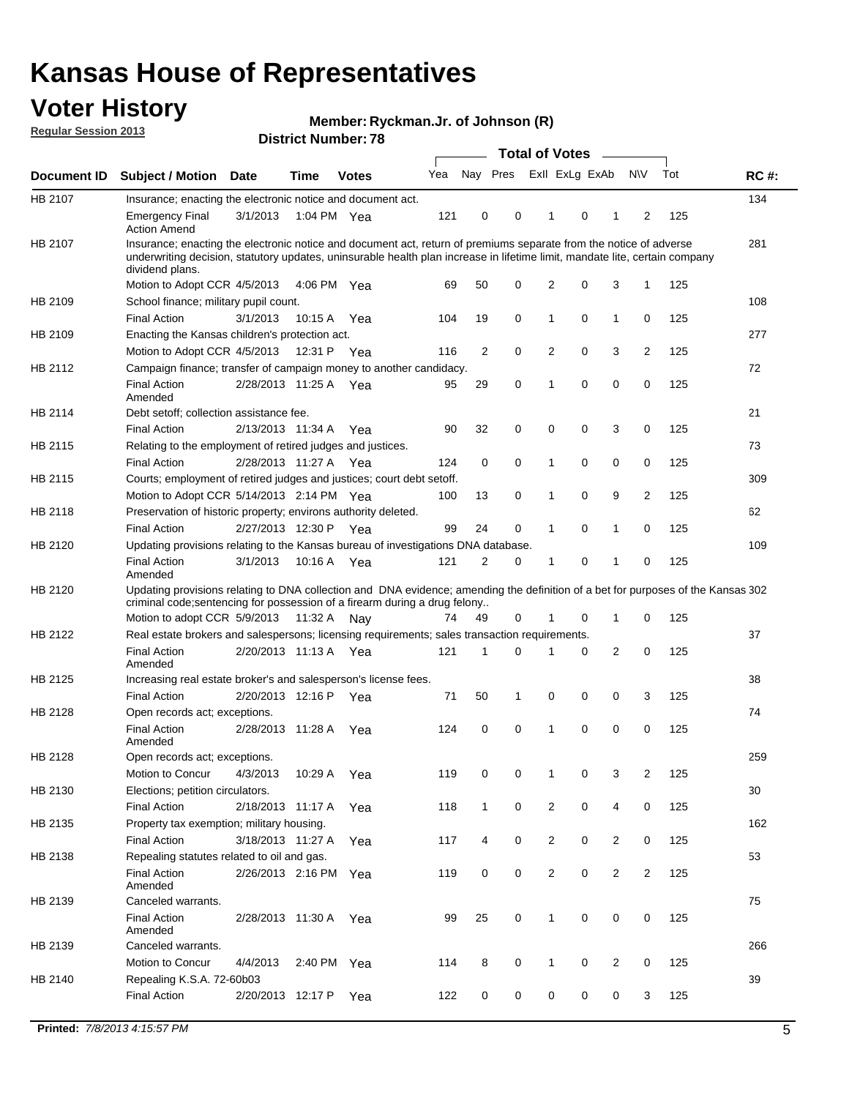## **Voter History**

**Member: Ryckman.Jr. of Johnson (R)** 

**Regular Session 2013**

|             |                                                                                                                                                                                                                                                                      |                       |             |              |     |              | <b>Total of Votes</b>   |                |   | $\overline{\phantom{a}}$ |                |     |             |
|-------------|----------------------------------------------------------------------------------------------------------------------------------------------------------------------------------------------------------------------------------------------------------------------|-----------------------|-------------|--------------|-----|--------------|-------------------------|----------------|---|--------------------------|----------------|-----|-------------|
| Document ID | <b>Subject / Motion Date</b>                                                                                                                                                                                                                                         |                       | <b>Time</b> | <b>Votes</b> | Yea |              | Nay Pres Exll ExLg ExAb |                |   |                          | <b>NV</b>      | Tot | <b>RC#:</b> |
| HB 2107     | Insurance; enacting the electronic notice and document act.                                                                                                                                                                                                          |                       |             |              |     |              |                         |                |   |                          |                |     | 134         |
|             | <b>Emergency Final</b><br><b>Action Amend</b>                                                                                                                                                                                                                        | 3/1/2013              | 1:04 PM Yea |              | 121 | 0            | 0                       | 1              | 0 | 1                        | 2              | 125 |             |
| HB 2107     | Insurance; enacting the electronic notice and document act, return of premiums separate from the notice of adverse<br>underwriting decision, statutory updates, uninsurable health plan increase in lifetime limit, mandate lite, certain company<br>dividend plans. |                       |             |              |     |              |                         |                |   |                          |                |     | 281         |
|             | Motion to Adopt CCR 4/5/2013                                                                                                                                                                                                                                         |                       | 4:06 PM Yea |              | 69  | 50           | 0                       | $\overline{2}$ | 0 | 3                        | 1              | 125 |             |
| HB 2109     | School finance; military pupil count.                                                                                                                                                                                                                                |                       |             |              |     |              |                         |                |   |                          |                |     | 108         |
|             | <b>Final Action</b>                                                                                                                                                                                                                                                  | 3/1/2013              | 10:15 A     | Yea          | 104 | 19           | 0                       | 1              | 0 | $\mathbf{1}$             | 0              | 125 |             |
| HB 2109     | Enacting the Kansas children's protection act.                                                                                                                                                                                                                       |                       |             |              |     |              |                         |                |   |                          |                |     | 277         |
|             | Motion to Adopt CCR 4/5/2013                                                                                                                                                                                                                                         |                       | 12:31 P Yea |              | 116 | 2            | 0                       | 2              | 0 | 3                        | 2              | 125 |             |
| HB 2112     | Campaign finance; transfer of campaign money to another candidacy.                                                                                                                                                                                                   |                       |             |              |     |              |                         |                |   |                          |                |     | 72          |
|             | <b>Final Action</b><br>Amended                                                                                                                                                                                                                                       | 2/28/2013 11:25 A Yea |             |              | 95  | 29           | 0                       | 1              | 0 | 0                        | 0              | 125 |             |
| HB 2114     | Debt setoff; collection assistance fee.                                                                                                                                                                                                                              |                       |             |              |     |              |                         |                |   |                          |                |     | 21          |
|             | <b>Final Action</b>                                                                                                                                                                                                                                                  | 2/13/2013 11:34 A     |             | Yea          | 90  | 32           | 0                       | 0              | 0 | 3                        | 0              | 125 |             |
| HB 2115     | Relating to the employment of retired judges and justices.                                                                                                                                                                                                           |                       |             |              |     |              |                         |                |   |                          |                |     | 73          |
|             | <b>Final Action</b>                                                                                                                                                                                                                                                  | 2/28/2013 11:27 A     |             | Yea          | 124 | 0            | 0                       | 1              | 0 | 0                        | 0              | 125 |             |
| HB 2115     | Courts; employment of retired judges and justices; court debt setoff.                                                                                                                                                                                                |                       |             |              |     |              |                         |                |   |                          |                |     | 309         |
|             | Motion to Adopt CCR 5/14/2013 2:14 PM Yea                                                                                                                                                                                                                            |                       |             |              | 100 | 13           | 0                       | 1              | 0 | 9                        | 2              | 125 |             |
| HB 2118     | Preservation of historic property; environs authority deleted.                                                                                                                                                                                                       |                       |             |              |     |              |                         |                |   |                          |                |     | 62          |
|             | <b>Final Action</b>                                                                                                                                                                                                                                                  | 2/27/2013 12:30 P     |             | Yea          | 99  | 24           | 0                       |                | 0 | 1                        | 0              | 125 |             |
| HB 2120     | Updating provisions relating to the Kansas bureau of investigations DNA database.                                                                                                                                                                                    |                       |             |              |     |              |                         |                |   |                          |                |     | 109         |
|             | <b>Final Action</b><br>Amended                                                                                                                                                                                                                                       | 3/1/2013              | 10:16 A     | Yea          | 121 | 2            | 0                       | 1              | 0 | 1                        | 0              | 125 |             |
| HB 2120     | Updating provisions relating to DNA collection and DNA evidence; amending the definition of a bet for purposes of the Kansas 302<br>criminal code; sentencing for possession of a firearm during a drug felony                                                       |                       |             |              |     |              |                         |                |   |                          |                |     |             |
|             | Motion to adopt CCR 5/9/2013                                                                                                                                                                                                                                         |                       | 11:32 A Nay |              | 74  | 49           | 0                       |                | 0 | 1                        | 0              | 125 |             |
| HB 2122     | Real estate brokers and salespersons; licensing requirements; sales transaction requirements.                                                                                                                                                                        |                       |             |              |     |              |                         |                |   |                          |                |     | 37          |
|             | <b>Final Action</b><br>Amended                                                                                                                                                                                                                                       | 2/20/2013 11:13 A Yea |             |              | 121 | 1            | 0                       |                | 0 | $\overline{2}$           | 0              | 125 |             |
| HB 2125     | Increasing real estate broker's and salesperson's license fees.                                                                                                                                                                                                      |                       |             |              |     |              |                         |                |   |                          |                |     | 38          |
|             | <b>Final Action</b>                                                                                                                                                                                                                                                  | 2/20/2013 12:16 P     |             | Yea          | 71  | 50           | 1                       | 0              | 0 | 0                        | 3              | 125 |             |
| HB 2128     | Open records act; exceptions.                                                                                                                                                                                                                                        |                       |             |              |     |              |                         |                |   |                          |                |     | 74          |
|             | <b>Final Action</b><br>Amended                                                                                                                                                                                                                                       | 2/28/2013 11:28 A     |             | Yea          | 124 | 0            | 0                       | 1              | 0 | 0                        | 0              | 125 |             |
| HB 2128     | Open records act; exceptions.                                                                                                                                                                                                                                        |                       |             |              |     |              |                         |                |   |                          |                |     | 259         |
|             | Motion to Concur                                                                                                                                                                                                                                                     | 4/3/2013              | 10:29 A     | Yea          | 119 | 0            | 0                       |                | 0 | 3                        | $\overline{2}$ | 125 |             |
| HB 2130     | Elections; petition circulators.                                                                                                                                                                                                                                     |                       |             |              |     |              |                         |                |   |                          |                |     | 30          |
|             | <b>Final Action</b>                                                                                                                                                                                                                                                  | 2/18/2013 11:17 A     |             | Yea          | 118 | $\mathbf{1}$ | 0                       | $\overline{2}$ | 0 | 4                        | 0              | 125 |             |
| HB 2135     | Property tax exemption; military housing.                                                                                                                                                                                                                            |                       |             |              |     |              |                         |                |   |                          |                |     | 162         |
|             | <b>Final Action</b>                                                                                                                                                                                                                                                  | 3/18/2013 11:27 A     |             | Yea          | 117 | 4            | 0                       | $\overline{c}$ | 0 | $\overline{2}$           | 0              | 125 |             |
| HB 2138     | Repealing statutes related to oil and gas.                                                                                                                                                                                                                           |                       |             |              |     |              |                         |                |   |                          |                |     | 53          |
|             | <b>Final Action</b><br>Amended                                                                                                                                                                                                                                       | 2/26/2013 2:16 PM Yea |             |              | 119 | 0            | 0                       | $\overline{2}$ | 0 | $\overline{2}$           | 2              | 125 |             |
| HB 2139     | Canceled warrants.                                                                                                                                                                                                                                                   |                       |             |              |     |              |                         |                |   |                          |                |     | 75          |
|             | <b>Final Action</b><br>Amended                                                                                                                                                                                                                                       | 2/28/2013 11:30 A Yea |             |              | 99  | 25           | 0                       | 1              | 0 | 0                        | 0              | 125 |             |
| HB 2139     | Canceled warrants.                                                                                                                                                                                                                                                   |                       |             |              |     |              |                         |                |   |                          |                |     | 266         |
|             | Motion to Concur                                                                                                                                                                                                                                                     | 4/4/2013              | 2:40 PM Yea |              | 114 | 8            | 0                       | 1              | 0 | 2                        | 0              | 125 |             |
| HB 2140     | Repealing K.S.A. 72-60b03                                                                                                                                                                                                                                            |                       |             |              |     |              |                         |                |   |                          |                |     | 39          |
|             | <b>Final Action</b>                                                                                                                                                                                                                                                  | 2/20/2013 12:17 P     |             | Yea          | 122 | 0            | 0                       | 0              | 0 | 0                        | 3              | 125 |             |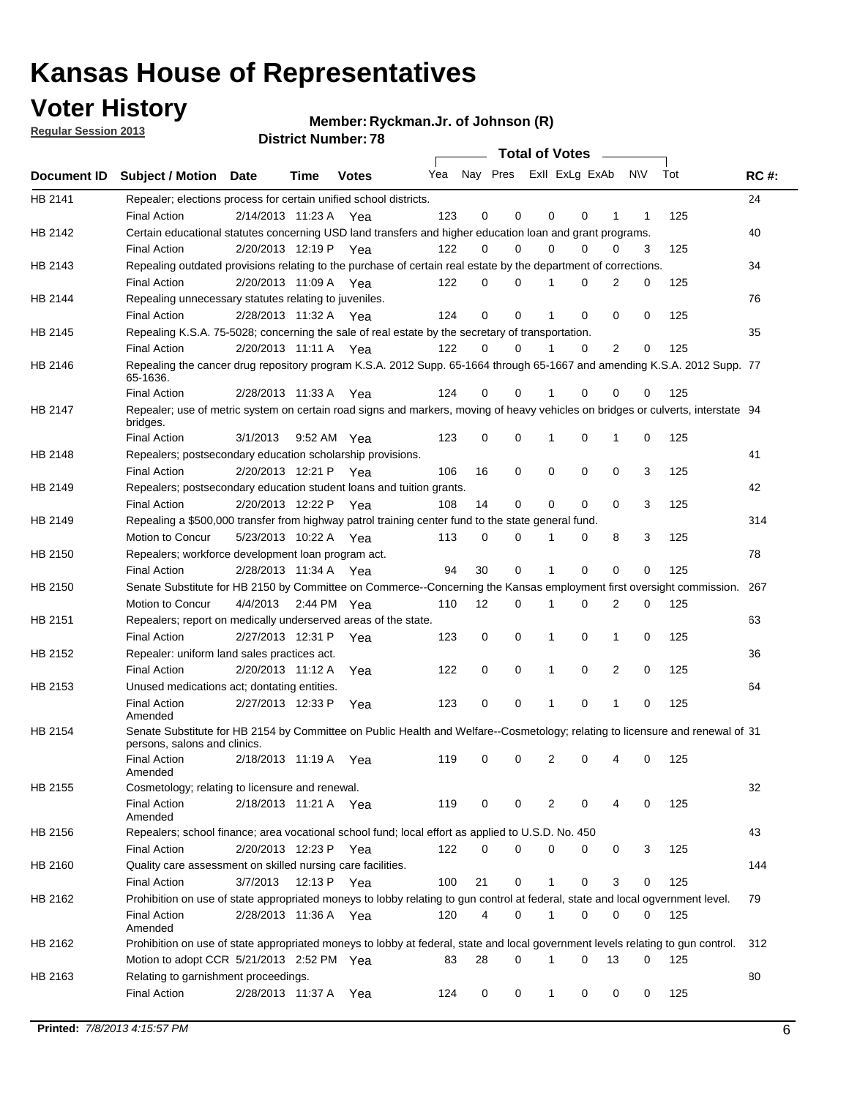**Voter History** 

**Member: Ryckman.Jr. of Johnson (R)** 

**Regular Session 2013**

|                    |                                                                                                                                              |          |                       |              |     |    | <b>Total of Votes</b>   |             |          | $\sim 100$  |     |     |             |
|--------------------|----------------------------------------------------------------------------------------------------------------------------------------------|----------|-----------------------|--------------|-----|----|-------------------------|-------------|----------|-------------|-----|-----|-------------|
| <b>Document ID</b> | <b>Subject / Motion Date</b>                                                                                                                 |          | Time                  | <b>Votes</b> | Yea |    | Nay Pres ExII ExLg ExAb |             |          |             | N\V | Tot | <b>RC#:</b> |
| HB 2141            | Repealer; elections process for certain unified school districts.                                                                            |          |                       |              |     |    |                         |             |          |             |     |     | 24          |
|                    | <b>Final Action</b>                                                                                                                          |          | 2/14/2013 11:23 A     | Yea          | 123 | 0  | 0                       | 0           | 0        | 1           | 1   | 125 |             |
| HB 2142            | Certain educational statutes concerning USD land transfers and higher education loan and grant programs.                                     |          |                       |              |     |    |                         |             |          |             |     |     | 40          |
|                    | <b>Final Action</b>                                                                                                                          |          | 2/20/2013 12:19 P Yea |              | 122 | 0  | 0                       | 0           | $\Omega$ | 0           | 3   | 125 |             |
| HB 2143            | Repealing outdated provisions relating to the purchase of certain real estate by the department of corrections.                              |          |                       |              |     |    |                         |             |          |             |     |     | 34          |
|                    | <b>Final Action</b>                                                                                                                          |          | 2/20/2013 11:09 A Yea |              | 122 | 0  | 0                       | 1           | 0        | 2           | 0   | 125 |             |
| HB 2144            | Repealing unnecessary statutes relating to juveniles.                                                                                        |          |                       |              |     |    |                         |             |          |             |     |     | 76          |
|                    | <b>Final Action</b>                                                                                                                          |          | 2/28/2013 11:32 A Yea |              | 124 | 0  | 0                       | 1           | 0        | 0           | 0   | 125 |             |
| HB 2145            | Repealing K.S.A. 75-5028; concerning the sale of real estate by the secretary of transportation.                                             |          |                       |              |     |    |                         |             |          |             |     |     | 35          |
|                    | <b>Final Action</b>                                                                                                                          |          | 2/20/2013 11:11 A Yea |              | 122 | 0  | 0                       | 1           | 0        | 2           | 0   | 125 |             |
| HB 2146            | Repealing the cancer drug repository program K.S.A. 2012 Supp. 65-1664 through 65-1667 and amending K.S.A. 2012 Supp. 77<br>65-1636.         |          |                       |              |     |    |                         |             |          |             |     |     |             |
|                    | <b>Final Action</b>                                                                                                                          |          | 2/28/2013 11:33 A     | Yea          | 124 | 0  | 0                       | 1           | $\Omega$ | 0           | 0   | 125 |             |
| HB 2147            | Repealer; use of metric system on certain road signs and markers, moving of heavy vehicles on bridges or culverts, interstate 94<br>bridges. |          |                       |              |     |    |                         |             |          |             |     |     |             |
|                    | <b>Final Action</b>                                                                                                                          | 3/1/2013 |                       | 9:52 AM Yea  | 123 | 0  | 0                       |             | 0        | 1           | 0   | 125 |             |
| HB 2148            | Repealers; postsecondary education scholarship provisions.                                                                                   |          |                       |              |     |    |                         |             |          |             |     |     | 41          |
|                    | <b>Final Action</b>                                                                                                                          |          | 2/20/2013 12:21 P     | Yea          | 106 | 16 | $\mathbf 0$             | 0           | 0        | $\mathbf 0$ | 3   | 125 |             |
| HB 2149            | Repealers; postsecondary education student loans and tuition grants.                                                                         |          |                       |              |     |    |                         |             |          |             |     |     | 42          |
|                    | <b>Final Action</b>                                                                                                                          |          | 2/20/2013 12:22 P     | Yea          | 108 | 14 | 0                       | 0           | $\Omega$ | $\Omega$    | 3   | 125 |             |
| HB 2149            | Repealing a \$500,000 transfer from highway patrol training center fund to the state general fund.                                           |          |                       |              |     |    |                         |             |          |             |     |     | 314         |
|                    | Motion to Concur                                                                                                                             |          | 5/23/2013 10:22 A Yea |              | 113 | 0  | 0                       |             | 0        | 8           | 3   | 125 |             |
| HB 2150            | Repealers; workforce development loan program act.                                                                                           |          |                       |              |     |    |                         |             |          |             |     |     | 78          |
|                    | <b>Final Action</b>                                                                                                                          |          | 2/28/2013 11:34 A Yea |              | 94  | 30 | $\mathbf 0$             | 1           | 0        | 0           | 0   | 125 |             |
| HB 2150            | Senate Substitute for HB 2150 by Committee on Commerce--Concerning the Kansas employment first oversight commission.                         |          |                       |              |     |    |                         |             |          |             |     |     | 267         |
|                    | Motion to Concur                                                                                                                             |          | 4/4/2013 2:44 PM Yea  |              | 110 | 12 | 0                       | 1           | 0        | 2           | 0   | 125 |             |
| HB 2151            | Repealers; report on medically underserved areas of the state.                                                                               |          |                       |              |     |    |                         |             |          |             |     |     | 63          |
|                    | <b>Final Action</b>                                                                                                                          |          | 2/27/2013 12:31 P     | Yea          | 123 | 0  | $\mathbf 0$             | 1           | 0        | 1           | 0   | 125 |             |
| HB 2152            | Repealer: uniform land sales practices act.                                                                                                  |          |                       |              |     |    |                         |             |          |             |     |     | 36          |
|                    | <b>Final Action</b>                                                                                                                          |          | 2/20/2013 11:12 A     | Yea          | 122 | 0  | $\mathbf 0$             | 1           | 0        | 2           | 0   | 125 |             |
| HB 2153            | Unused medications act; dontating entities.                                                                                                  |          |                       |              |     |    |                         |             |          |             |     |     | 64          |
|                    | <b>Final Action</b><br>Amended                                                                                                               |          | 2/27/2013 12:33 P     | Yea          | 123 | 0  | 0                       | 1           | 0        | 1           | 0   | 125 |             |
| HB 2154            | Senate Substitute for HB 2154 by Committee on Public Health and Welfare--Cosmetology; relating to licensure and renewal of 31                |          |                       |              |     |    |                         |             |          |             |     |     |             |
|                    | persons, salons and clinics.                                                                                                                 |          |                       |              |     |    |                         |             |          |             |     |     |             |
|                    | <b>Final Action</b><br>Amended                                                                                                               |          | 2/18/2013 11:19 A     | Yea          | 119 | 0  | 0                       | 2           | 0        | 4           | 0   | 125 |             |
| HB 2155            | Cosmetology; relating to licensure and renewal.                                                                                              |          |                       |              |     |    |                         |             |          |             |     |     | 32          |
|                    | <b>Final Action</b>                                                                                                                          |          | 2/18/2013 11:21 A Yea |              | 119 | 0  | 0                       | 2           | 0        |             | 0   | 125 |             |
|                    | Amended                                                                                                                                      |          |                       |              |     |    |                         |             |          |             |     |     |             |
| HB 2156            | Repealers; school finance; area vocational school fund; local effort as applied to U.S.D. No. 450                                            |          |                       |              |     |    |                         |             |          |             |     |     | 43          |
|                    | <b>Final Action</b>                                                                                                                          |          | 2/20/2013 12:23 P     | Yea          | 122 | 0  | 0                       | 0           | 0        | 0           | 3   | 125 |             |
| HB 2160            | Quality care assessment on skilled nursing care facilities.                                                                                  |          |                       |              |     |    |                         |             |          |             |     |     | 144         |
|                    | <b>Final Action</b>                                                                                                                          | 3/7/2013 | 12:13 P               | Yea          | 100 | 21 | 0                       | 1           | 0        | 3           | 0   | 125 |             |
| HB 2162            | Prohibition on use of state appropriated moneys to lobby relating to gun control at federal, state and local ogvernment level.               |          |                       |              |     |    |                         |             |          |             |     |     | 79          |
|                    | <b>Final Action</b><br>Amended                                                                                                               |          | 2/28/2013 11:36 A Yea |              | 120 | 4  | 0                       | $\mathbf 1$ | 0        | 0           | 0   | 125 |             |
| HB 2162            | Prohibition on use of state appropriated moneys to lobby at federal, state and local government levels relating to gun control.              |          |                       |              |     |    |                         |             |          |             |     |     | 312         |
|                    | Motion to adopt CCR 5/21/2013 2:52 PM Yea                                                                                                    |          |                       |              | 83  | 28 | 0                       |             | 0        | 13          | 0   | 125 |             |
| HB 2163            | Relating to garnishment proceedings.                                                                                                         |          |                       |              |     |    |                         |             |          |             |     |     | 80          |
|                    | <b>Final Action</b>                                                                                                                          |          | 2/28/2013 11:37 A Yea |              | 124 | 0  | 0                       | $\mathbf 1$ | 0        | 0           | 0   | 125 |             |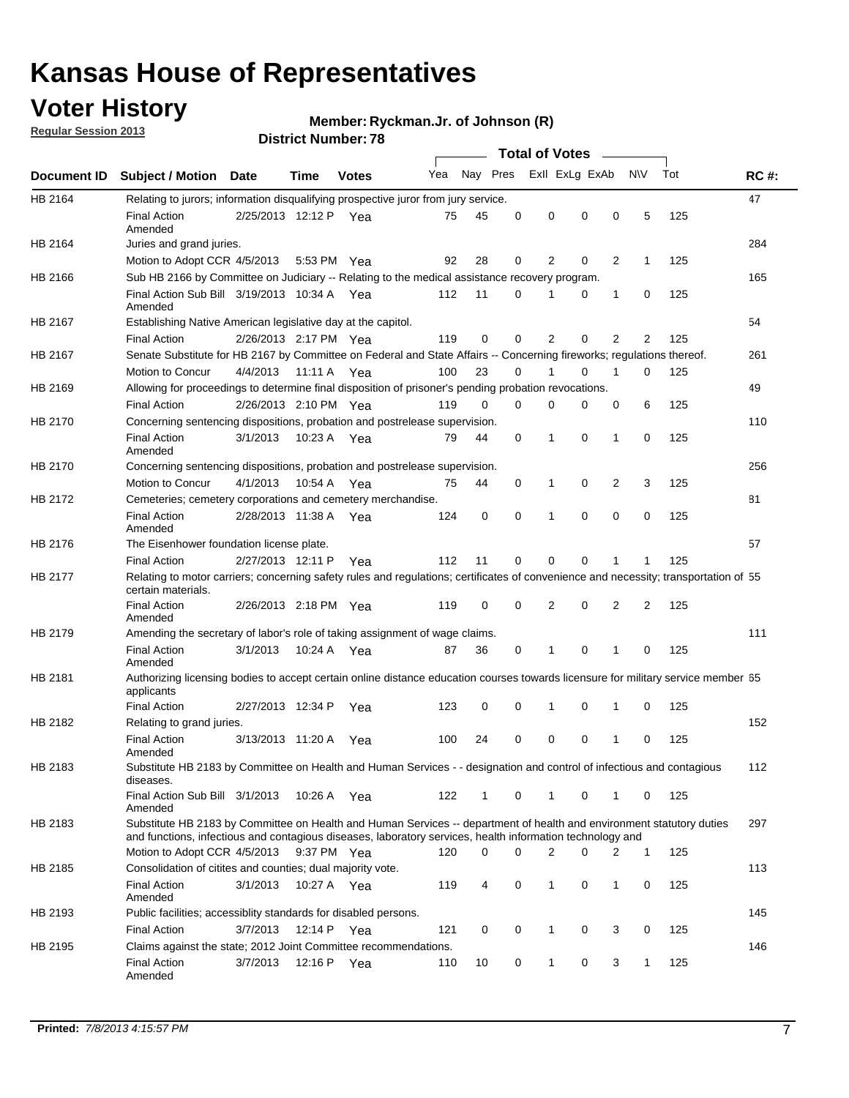## **Voter History**

**Member: Ryckman.Jr. of Johnson (R)** 

**Regular Session 2013**

|             |                                                                                                                                                                                                                                    |                       |             |              |     |              |          | <b>Total of Votes</b> |          |                |              |     |             |
|-------------|------------------------------------------------------------------------------------------------------------------------------------------------------------------------------------------------------------------------------------|-----------------------|-------------|--------------|-----|--------------|----------|-----------------------|----------|----------------|--------------|-----|-------------|
| Document ID | <b>Subject / Motion</b>                                                                                                                                                                                                            | Date                  | Time        | <b>Votes</b> | Yea | Nay Pres     |          | Exll ExLg ExAb        |          |                | <b>NV</b>    | Tot | <b>RC#:</b> |
| HB 2164     | Relating to jurors; information disqualifying prospective juror from jury service.                                                                                                                                                 |                       |             |              |     |              |          |                       |          |                |              |     | 47          |
|             | <b>Final Action</b><br>Amended                                                                                                                                                                                                     | 2/25/2013 12:12 P Yea |             |              | 75  | 45           | 0        | 0                     | 0        | 0              | 5            | 125 |             |
| HB 2164     | Juries and grand juries.                                                                                                                                                                                                           |                       |             |              |     |              |          |                       |          |                |              |     | 284         |
|             | Motion to Adopt CCR 4/5/2013                                                                                                                                                                                                       |                       |             | 5:53 PM Yea  | 92  | 28           | 0        | 2                     | 0        | 2              | 1            | 125 |             |
| HB 2166     | Sub HB 2166 by Committee on Judiciary -- Relating to the medical assistance recovery program.                                                                                                                                      |                       |             |              |     |              |          |                       |          |                |              |     | 165         |
|             | Final Action Sub Bill 3/19/2013 10:34 A Yea<br>Amended                                                                                                                                                                             |                       |             |              | 112 | 11           | 0        |                       | 0        | 1              | 0            | 125 |             |
| HB 2167     | Establishing Native American legislative day at the capitol.                                                                                                                                                                       |                       |             |              |     |              |          |                       |          |                |              |     | 54          |
|             | <b>Final Action</b>                                                                                                                                                                                                                | 2/26/2013 2:17 PM Yea |             |              | 119 | 0            | 0        | 2                     | 0        | $\overline{2}$ | 2            | 125 |             |
| HB 2167     | Senate Substitute for HB 2167 by Committee on Federal and State Affairs -- Concerning fireworks; regulations thereof.                                                                                                              |                       |             |              |     |              |          |                       |          |                |              |     | 261         |
|             | Motion to Concur                                                                                                                                                                                                                   | 4/4/2013 11:11 A Yea  |             |              | 100 | 23           | 0        |                       | 0        | 1              | $\Omega$     | 125 |             |
| HB 2169     | Allowing for proceedings to determine final disposition of prisoner's pending probation revocations.                                                                                                                               |                       |             |              |     |              |          |                       |          |                |              |     | 49          |
|             | <b>Final Action</b>                                                                                                                                                                                                                | 2/26/2013 2:10 PM Yea |             |              | 119 | $\Omega$     | $\Omega$ | 0                     | 0        | 0              | 6            | 125 |             |
| HB 2170     | Concerning sentencing dispositions, probation and postrelease supervision.                                                                                                                                                         |                       |             |              |     |              |          |                       |          |                |              |     | 110         |
|             | <b>Final Action</b><br>Amended                                                                                                                                                                                                     | 3/1/2013              | 10:23 A Yea |              | 79  | 44           | 0        | 1                     | $\Omega$ | $\mathbf{1}$   | 0            | 125 |             |
| HB 2170     | Concerning sentencing dispositions, probation and postrelease supervision.                                                                                                                                                         |                       |             |              |     |              |          |                       |          |                |              |     | 256         |
|             | Motion to Concur                                                                                                                                                                                                                   | 4/1/2013              | 10:54 A     | Yea          | 75  | 44           | 0        | 1                     | 0        | 2              | 3            | 125 |             |
| HB 2172     | Cemeteries; cemetery corporations and cemetery merchandise.                                                                                                                                                                        |                       |             |              |     |              |          |                       |          |                |              |     | 81          |
|             | <b>Final Action</b><br>Amended                                                                                                                                                                                                     | 2/28/2013 11:38 A     |             | Yea          | 124 | 0            | 0        | 1                     | 0        | 0              | 0            | 125 |             |
| HB 2176     | The Eisenhower foundation license plate.                                                                                                                                                                                           |                       |             |              |     |              |          |                       |          |                |              |     | 57          |
|             | <b>Final Action</b>                                                                                                                                                                                                                | 2/27/2013 12:11 P     |             | Yea          | 112 | 11           | 0        | $\Omega$              | 0        | 1              |              | 125 |             |
| HB 2177     | Relating to motor carriers; concerning safety rules and regulations; certificates of convenience and necessity; transportation of 55<br>certain materials.                                                                         |                       |             |              |     |              |          |                       |          |                |              |     |             |
|             | <b>Final Action</b><br>Amended                                                                                                                                                                                                     | 2/26/2013 2:18 PM Yea |             |              | 119 | $\mathbf 0$  | 0        | 2                     | 0        | 2              | 2            | 125 |             |
| HB 2179     | Amending the secretary of labor's role of taking assignment of wage claims.                                                                                                                                                        |                       |             |              |     |              |          |                       |          |                |              |     | 111         |
|             | <b>Final Action</b><br>Amended                                                                                                                                                                                                     | 3/1/2013              |             | 10:24 A Yea  | 87  | 36           | 0        | 1                     | 0        | 1              | 0            | 125 |             |
| HB 2181     | Authorizing licensing bodies to accept certain online distance education courses towards licensure for military service member 55<br>applicants                                                                                    |                       |             |              |     |              |          |                       |          |                |              |     |             |
|             | <b>Final Action</b>                                                                                                                                                                                                                | 2/27/2013 12:34 P     |             | Yea          | 123 | 0            | 0        | 1                     | 0        | 1              | 0            | 125 |             |
| HB 2182     | Relating to grand juries.                                                                                                                                                                                                          |                       |             |              |     |              |          |                       |          |                |              |     | 152         |
|             | <b>Final Action</b><br>Amended                                                                                                                                                                                                     | 3/13/2013 11:20 A     |             | Yea          | 100 | 24           | 0        | 0                     | 0        | 1              | 0            | 125 |             |
| HB 2183     | Substitute HB 2183 by Committee on Health and Human Services - - designation and control of infectious and contagious<br>diseases.                                                                                                 |                       |             |              |     |              |          |                       |          |                |              |     | 112         |
|             | Final Action Sub Bill 3/1/2013<br>Amended                                                                                                                                                                                          |                       | 10:26 A Yea |              | 122 | $\mathbf{1}$ | 0        | $\mathbf 1$           | 0        | $\mathbf{1}$   | $\mathbf{0}$ | 125 |             |
| HB 2183     | Substitute HB 2183 by Committee on Health and Human Services -- department of health and environment statutory duties<br>and functions, infectious and contagious diseases, laboratory services, health information technology and |                       |             |              |     |              |          |                       |          |                |              |     | 297         |
|             | Motion to Adopt CCR 4/5/2013                                                                                                                                                                                                       |                       |             | 9:37 PM Yea  | 120 | 0            | 0        | $\overline{2}$        | 0        | 2              | 1            | 125 |             |
| HB 2185     | Consolidation of citites and counties; dual majority vote.                                                                                                                                                                         |                       |             |              |     |              |          |                       |          |                |              |     | 113         |
|             | <b>Final Action</b><br>Amended                                                                                                                                                                                                     | 3/1/2013              |             | 10:27 A Yea  | 119 | 4            | 0        | 1                     | 0        | 1              | 0            | 125 |             |
| HB 2193     | Public facilities; accessiblity standards for disabled persons.                                                                                                                                                                    |                       |             |              |     |              |          |                       |          |                |              |     | 145         |
|             | <b>Final Action</b>                                                                                                                                                                                                                | 3/7/2013              | 12:14 P Yea |              | 121 | 0            | 0        | 1                     | 0        | 3              | 0            | 125 |             |
| HB 2195     | Claims against the state; 2012 Joint Committee recommendations.                                                                                                                                                                    |                       |             |              |     |              |          |                       |          |                |              |     | 146         |
|             | <b>Final Action</b><br>Amended                                                                                                                                                                                                     | 3/7/2013              | 12:16 P Yea |              | 110 | 10           | 0        | $\mathbf{1}$          | 0        | 3              | $\mathbf{1}$ | 125 |             |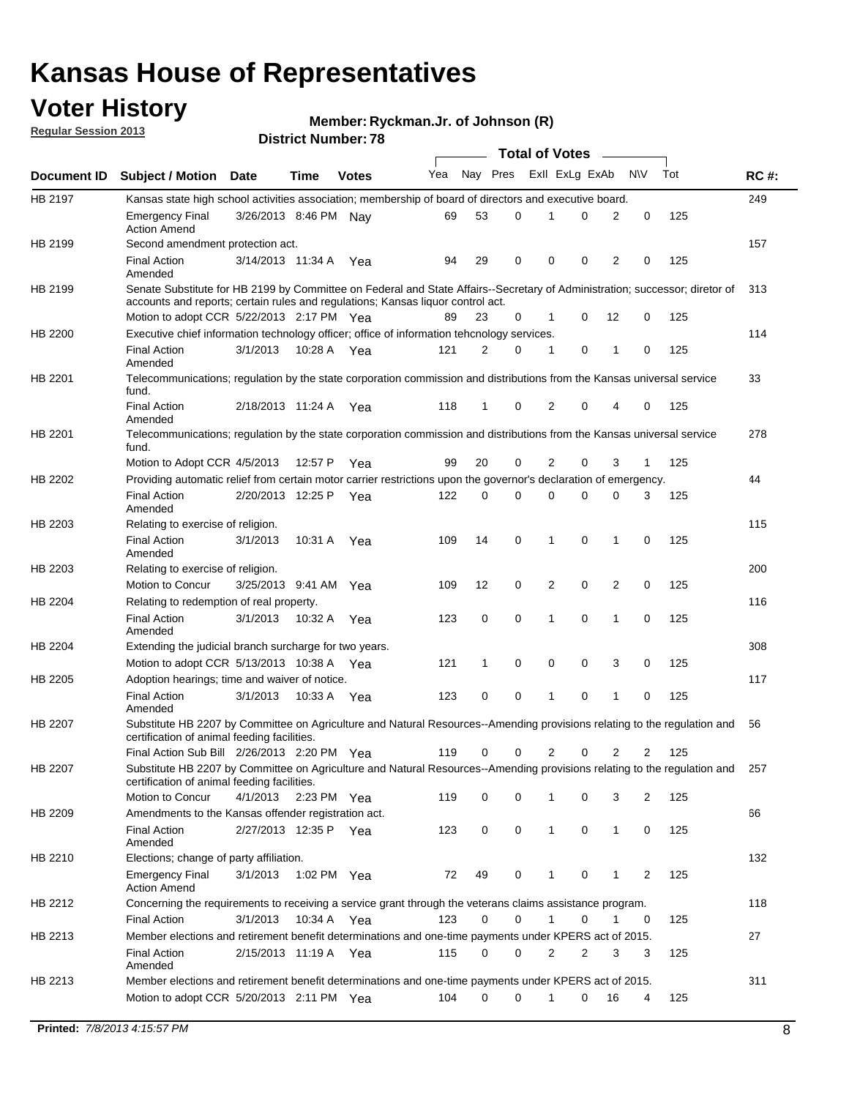## **Voter History**

**Member: Ryckman.Jr. of Johnson (R)** 

**Regular Session 2013**

|                |                                                                                                                                                                             |                       |             |              |     |             |   | <b>Total of Votes</b> |   |                |              |     |             |
|----------------|-----------------------------------------------------------------------------------------------------------------------------------------------------------------------------|-----------------------|-------------|--------------|-----|-------------|---|-----------------------|---|----------------|--------------|-----|-------------|
| Document ID    | <b>Subject / Motion Date</b>                                                                                                                                                |                       | Time        | <b>Votes</b> | Yea | Nay Pres    |   | Exll ExLg ExAb        |   |                | <b>NV</b>    | Tot | <b>RC#:</b> |
| HB 2197        | Kansas state high school activities association; membership of board of directors and executive board.                                                                      |                       |             |              |     |             |   |                       |   |                |              |     | 249         |
|                | <b>Emergency Final</b><br><b>Action Amend</b>                                                                                                                               | 3/26/2013 8:46 PM Nay |             |              | 69  | 53          | 0 |                       | 0 | 2              | 0            | 125 |             |
| HB 2199        | Second amendment protection act.                                                                                                                                            |                       |             |              |     |             |   |                       |   |                |              |     | 157         |
|                | <b>Final Action</b><br>Amended                                                                                                                                              | 3/14/2013 11:34 A     |             | Yea          | 94  | 29          | 0 | 0                     | 0 | 2              | 0            | 125 |             |
| HB 2199        | Senate Substitute for HB 2199 by Committee on Federal and State Affairs--Secretary of Administration; successor; diretor of                                                 |                       |             |              |     |             |   |                       |   |                |              |     | 313         |
|                | accounts and reports; certain rules and regulations; Kansas liguor control act.                                                                                             |                       |             |              |     |             |   |                       |   |                |              |     |             |
|                | Motion to adopt CCR 5/22/2013 2:17 PM Yea                                                                                                                                   |                       |             |              | 89  | 23          | 0 | 1                     | 0 | 12             | 0            | 125 |             |
| HB 2200        | Executive chief information technology officer; office of information tehcnology services.                                                                                  |                       |             |              |     |             |   |                       |   |                |              |     | 114         |
|                | <b>Final Action</b><br>Amended                                                                                                                                              | 3/1/2013              | 10:28 A     | Yea          | 121 | 2           | 0 | 1                     | 0 | 1              | 0            | 125 |             |
| HB 2201        | Telecommunications; regulation by the state corporation commission and distributions from the Kansas universal service<br>fund.                                             |                       |             |              |     |             |   |                       |   |                |              |     | 33          |
|                | <b>Final Action</b><br>Amended                                                                                                                                              | 2/18/2013 11:24 A     |             | Yea          | 118 | 1           | 0 | 2                     | 0 | 4              | 0            | 125 |             |
| HB 2201        | Telecommunications; regulation by the state corporation commission and distributions from the Kansas universal service<br>fund.                                             |                       |             |              |     |             |   |                       |   |                |              |     | 278         |
|                | Motion to Adopt CCR 4/5/2013                                                                                                                                                |                       | 12:57 P     | Yea          | 99  | 20          | 0 | 2                     | 0 | 3              | $\mathbf{1}$ | 125 |             |
| HB 2202        | Providing automatic relief from certain motor carrier restrictions upon the governor's declaration of emergency.                                                            |                       |             |              |     |             |   |                       |   |                |              |     | 44          |
|                | <b>Final Action</b><br>Amended                                                                                                                                              | 2/20/2013 12:25 P     |             | Yea          | 122 | 0           | 0 | 0                     | 0 | 0              | 3            | 125 |             |
| HB 2203        | Relating to exercise of religion.                                                                                                                                           |                       |             |              |     |             |   |                       |   |                |              |     | 115         |
|                | <b>Final Action</b><br>Amended                                                                                                                                              | 3/1/2013              | 10:31 A     | Yea          | 109 | 14          | 0 | 1                     | 0 | 1              | 0            | 125 |             |
| HB 2203        | Relating to exercise of religion.                                                                                                                                           |                       |             |              |     |             |   |                       |   |                |              |     | 200         |
|                | Motion to Concur                                                                                                                                                            | 3/25/2013 9:41 AM     |             | Yea          | 109 | 12          | 0 | 2                     | 0 | 2              | 0            | 125 |             |
| HB 2204        | Relating to redemption of real property.                                                                                                                                    |                       |             |              |     |             |   |                       |   |                |              |     | 116         |
|                | <b>Final Action</b>                                                                                                                                                         | 3/1/2013              | 10:32 A     | Yea          | 123 | $\mathbf 0$ | 0 | 1                     | 0 | $\mathbf{1}$   | 0            | 125 |             |
| HB 2204        | Amended<br>Extending the judicial branch surcharge for two years.                                                                                                           |                       |             |              |     |             |   |                       |   |                |              |     | 308         |
|                | Motion to adopt CCR 5/13/2013 10:38 A Yea                                                                                                                                   |                       |             |              | 121 | 1           | 0 | 0                     | 0 | 3              | 0            | 125 |             |
| HB 2205        | Adoption hearings; time and waiver of notice.                                                                                                                               |                       |             |              |     |             |   |                       |   |                |              |     | 117         |
|                | <b>Final Action</b>                                                                                                                                                         | 3/1/2013              | 10:33 A Yea |              | 123 | 0           | 0 | 1                     | 0 | 1              | 0            | 125 |             |
|                | Amended                                                                                                                                                                     |                       |             |              |     |             |   |                       |   |                |              |     |             |
| HB 2207        | Substitute HB 2207 by Committee on Agriculture and Natural Resources--Amending provisions relating to the regulation and<br>certification of animal feeding facilities.     |                       |             |              |     |             |   |                       |   |                |              |     | 56          |
|                | Final Action Sub Bill 2/26/2013 2:20 PM Yea                                                                                                                                 |                       |             |              | 119 | 0           | 0 | 2                     | 0 | $\overline{2}$ | 2            | 125 |             |
| <b>HB 2207</b> | Substitute HB 2207 by Committee on Agriculture and Natural Resources--Amending provisions relating to the regulation and 257<br>certification of animal feeding facilities. |                       |             |              |     |             |   |                       |   |                |              |     |             |
|                | Motion to Concur                                                                                                                                                            | 4/1/2013              | 2:23 PM Yea |              | 119 | 0           | 0 | 1                     | 0 | 3              | 2            | 125 |             |
| HB 2209        | Amendments to the Kansas offender registration act.                                                                                                                         |                       |             |              |     |             |   |                       |   |                |              |     | 66          |
|                | <b>Final Action</b><br>Amended                                                                                                                                              | 2/27/2013 12:35 P Yea |             |              | 123 | 0           | 0 | $\mathbf{1}$          | 0 | $\mathbf{1}$   | 0            | 125 |             |
| HB 2210        | Elections; change of party affiliation.                                                                                                                                     |                       |             |              |     |             |   |                       |   |                |              |     | 132         |
|                | <b>Emergency Final</b><br><b>Action Amend</b>                                                                                                                               | 3/1/2013              | 1:02 PM Yea |              | 72  | 49          | 0 |                       | 0 | 1              | 2            | 125 |             |
| HB 2212        | Concerning the requirements to receiving a service grant through the veterans claims assistance program.                                                                    |                       |             |              |     |             |   |                       |   |                |              |     | 118         |
|                | <b>Final Action</b>                                                                                                                                                         | 3/1/2013              | 10:34 A Yea |              | 123 | 0           | 0 | $\mathbf{1}$          | 0 | 1              | 0            | 125 |             |
| HB 2213        | Member elections and retirement benefit determinations and one-time payments under KPERS act of 2015.                                                                       |                       |             |              |     |             |   |                       |   |                |              |     | 27          |
|                | <b>Final Action</b><br>Amended                                                                                                                                              | 2/15/2013 11:19 A Yea |             |              | 115 | 0           | 0 | 2                     | 2 | 3              | 3            | 125 |             |
| HB 2213        | Member elections and retirement benefit determinations and one-time payments under KPERS act of 2015.                                                                       |                       |             |              |     |             |   |                       |   |                |              |     | 311         |
|                | Motion to adopt CCR 5/20/2013 2:11 PM Yea                                                                                                                                   |                       |             |              | 104 | $\Omega$    | 0 | 1                     | 0 | 16             | 4            | 125 |             |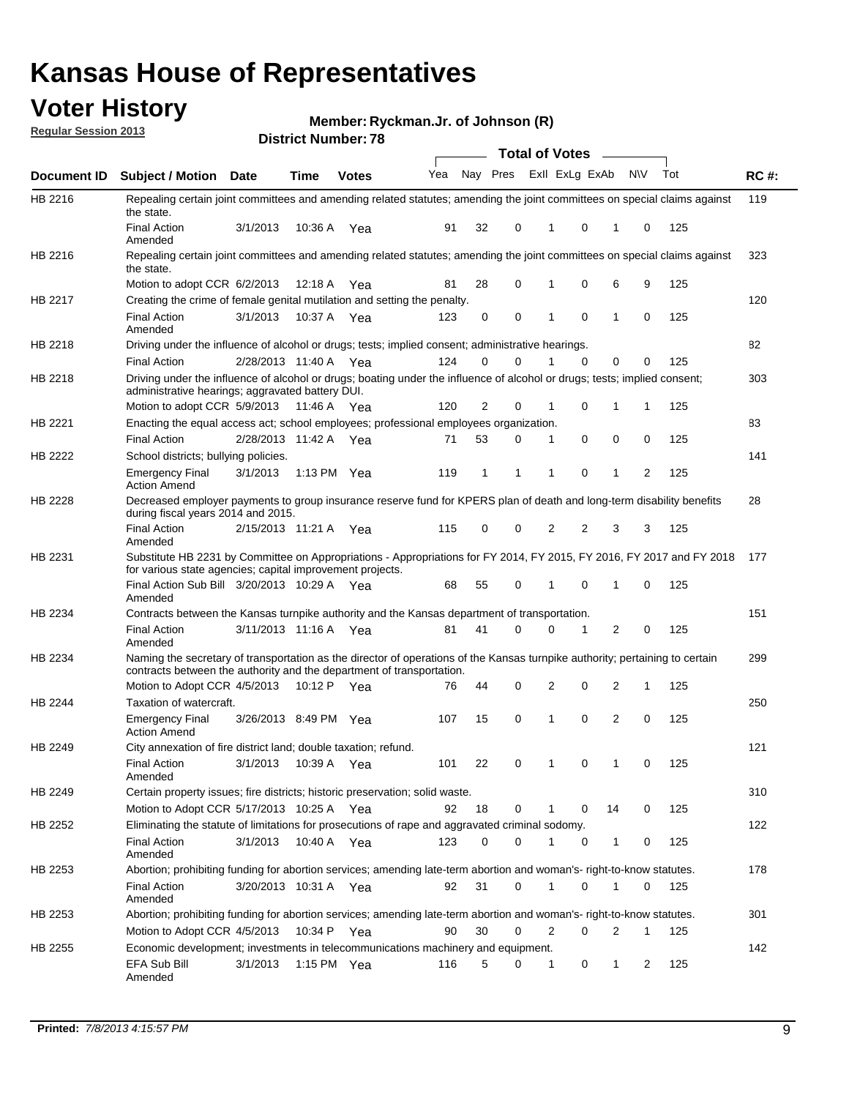## **Voter History**

**Member: Ryckman.Jr. of Johnson (R)** 

**Regular Session 2013**

|                |                                                                                                                                                                                                       |                       |         | DISTRICT NUMBER 10 |     |              |          | Total of Votes – |              |           |     |             |
|----------------|-------------------------------------------------------------------------------------------------------------------------------------------------------------------------------------------------------|-----------------------|---------|--------------------|-----|--------------|----------|------------------|--------------|-----------|-----|-------------|
| Document ID    | <b>Subject / Motion</b>                                                                                                                                                                               | <b>Date</b>           | Time    | <b>Votes</b>       | Yea |              | Nay Pres | Exll ExLg ExAb   |              | <b>NV</b> | Tot | <b>RC#:</b> |
| HB 2216        | Repealing certain joint committees and amending related statutes; amending the joint committees on special claims against<br>the state.                                                               |                       |         |                    |     |              |          |                  |              |           |     | 119         |
|                | <b>Final Action</b><br>Amended                                                                                                                                                                        | 3/1/2013              | 10:36 A | Yea                | 91  | 32           | 0        | 0<br>1           | 1            | 0         | 125 |             |
| HB 2216        | Repealing certain joint committees and amending related statutes; amending the joint committees on special claims against<br>the state.                                                               |                       |         |                    |     |              |          |                  |              |           |     | 323         |
|                | Motion to adopt CCR 6/2/2013                                                                                                                                                                          |                       | 12:18 A | Yea                | 81  | 28           | 0        | 0<br>1           | 6            | 9         | 125 |             |
| <b>HB 2217</b> | Creating the crime of female genital mutilation and setting the penalty.                                                                                                                              |                       |         |                    |     |              |          |                  |              |           |     | 120         |
|                | <b>Final Action</b><br>Amended                                                                                                                                                                        | 3/1/2013              |         | 10:37 A Yea        | 123 | 0            | 0        | $\mathbf 0$<br>1 | $\mathbf{1}$ | 0         | 125 |             |
| HB 2218        | Driving under the influence of alcohol or drugs; tests; implied consent; administrative hearings.                                                                                                     |                       |         |                    |     |              |          |                  |              |           |     | 82          |
|                | <b>Final Action</b>                                                                                                                                                                                   | 2/28/2013 11:40 A Yea |         |                    | 124 | 0            | 0        | $\Omega$<br>1    | 0            | 0         | 125 |             |
| HB 2218        | Driving under the influence of alcohol or drugs; boating under the influence of alcohol or drugs; tests; implied consent;<br>administrative hearings; aggravated battery DUI.                         |                       |         |                    |     |              |          |                  |              |           |     | 303         |
|                | Motion to adopt CCR 5/9/2013                                                                                                                                                                          |                       | 11:46 A | Yea                | 120 | 2            | 0        | 0<br>1           | 1            | 1         | 125 |             |
| HB 2221        | Enacting the equal access act; school employees; professional employees organization.                                                                                                                 |                       |         |                    |     |              |          |                  |              |           |     | 83          |
|                | <b>Final Action</b>                                                                                                                                                                                   | 2/28/2013 11:42 A     |         | Yea                | 71  | 53           | 0        | 0<br>1           | 0            | 0         | 125 |             |
| HB 2222        | School districts; bullying policies.<br><b>Emergency Final</b>                                                                                                                                        | 3/1/2013              |         | 1:13 PM Yea        | 119 | $\mathbf{1}$ | 1        | 0<br>1           | 1            | 2         | 125 | 141         |
|                | <b>Action Amend</b>                                                                                                                                                                                   |                       |         |                    |     |              |          |                  |              |           |     |             |
| HB 2228        | Decreased employer payments to group insurance reserve fund for KPERS plan of death and long-term disability benefits<br>during fiscal years 2014 and 2015.                                           |                       |         |                    |     |              |          |                  |              |           |     | 28          |
|                | <b>Final Action</b><br>Amended                                                                                                                                                                        | 2/15/2013 11:21 A     |         | Yea                | 115 | 0            | 0        | 2<br>2           | 3            | 3         | 125 |             |
| HB 2231        | Substitute HB 2231 by Committee on Appropriations - Appropriations for FY 2014, FY 2015, FY 2016, FY 2017 and FY 2018<br>for various state agencies; capital improvement projects.                    |                       |         |                    |     |              |          |                  |              |           |     | 177         |
|                | Final Action Sub Bill 3/20/2013 10:29 A<br>Amended                                                                                                                                                    |                       |         | Yea                | 68  | 55           | 0        | 0                | 1            | 0         | 125 |             |
| HB 2234        | Contracts between the Kansas turnpike authority and the Kansas department of transportation.                                                                                                          |                       |         |                    |     |              |          |                  |              |           |     | 151         |
|                | <b>Final Action</b><br>Amended                                                                                                                                                                        | 3/11/2013 11:16 A Yea |         |                    | 81  | 41           | 0        | $\Omega$<br>1    | 2            | 0         | 125 |             |
| HB 2234        | Naming the secretary of transportation as the director of operations of the Kansas turnpike authority; pertaining to certain<br>contracts between the authority and the department of transportation. |                       |         |                    |     |              |          |                  |              |           |     | 299         |
|                | Motion to Adopt CCR 4/5/2013                                                                                                                                                                          |                       | 10:12 P | Yea                | 76  | 44           | 0        | 2<br>0           | 2            | 1         | 125 |             |
| HB 2244        | Taxation of watercraft.<br><b>Emergency Final</b>                                                                                                                                                     | 3/26/2013 8:49 PM Yea |         |                    | 107 | 15           | 0        | 0<br>1           | 2            | 0         | 125 | 250         |
|                | <b>Action Amend</b>                                                                                                                                                                                   |                       |         |                    |     |              |          |                  |              |           |     |             |
| HB 2249        | City annexation of fire district land; double taxation; refund.                                                                                                                                       |                       |         |                    |     |              |          |                  |              |           |     | 121         |
|                | <b>Final Action</b><br>Amended                                                                                                                                                                        | 3/1/2013 10:39 A Yea  |         |                    | 101 | 22           | 0        | $\mathbf 0$      |              | 0         | 125 |             |
| HB 2249        | Certain property issues; fire districts; historic preservation; solid waste.                                                                                                                          |                       |         |                    |     |              |          |                  |              |           |     | 310         |
|                | Motion to Adopt CCR 5/17/2013 10:25 A Yea                                                                                                                                                             |                       |         |                    | 92  | 18           | 0        | 0<br>1           | 14           | 0         | 125 |             |
| HB 2252        | Eliminating the statute of limitations for prosecutions of rape and aggravated criminal sodomy.                                                                                                       |                       |         |                    |     |              |          |                  |              |           |     | 122         |
|                | <b>Final Action</b>                                                                                                                                                                                   | 3/1/2013              |         | 10:40 A Yea        | 123 | 0            | 0        | 1<br>0           | 1            | 0         | 125 |             |
|                | Amended                                                                                                                                                                                               |                       |         |                    |     |              |          |                  |              |           |     |             |
| HB 2253        | Abortion; prohibiting funding for abortion services; amending late-term abortion and woman's- right-to-know statutes.                                                                                 |                       |         |                    |     |              |          |                  |              |           |     | 178         |
|                | <b>Final Action</b><br>Amended                                                                                                                                                                        | 3/20/2013 10:31 A Yea |         |                    | 92  | 31           | 0        | 0<br>1           | 1            | 0         | 125 |             |
| HB 2253        | Abortion; prohibiting funding for abortion services; amending late-term abortion and woman's- right-to-know statutes.                                                                                 |                       |         |                    |     |              |          |                  |              |           |     | 301         |
|                | Motion to Adopt CCR 4/5/2013                                                                                                                                                                          |                       | 10:34 P | Yea                | 90  | 30           | 0        | 2<br>0           | 2            | 1         | 125 |             |
| HB 2255        | Economic development; investments in telecommunications machinery and equipment.                                                                                                                      |                       |         |                    |     |              |          |                  |              |           |     | 142         |
|                | EFA Sub Bill<br>Amended                                                                                                                                                                               | 3/1/2013              |         | 1:15 PM $Yea$      | 116 | 5            | 0        | 0<br>1           | 1            | 2         | 125 |             |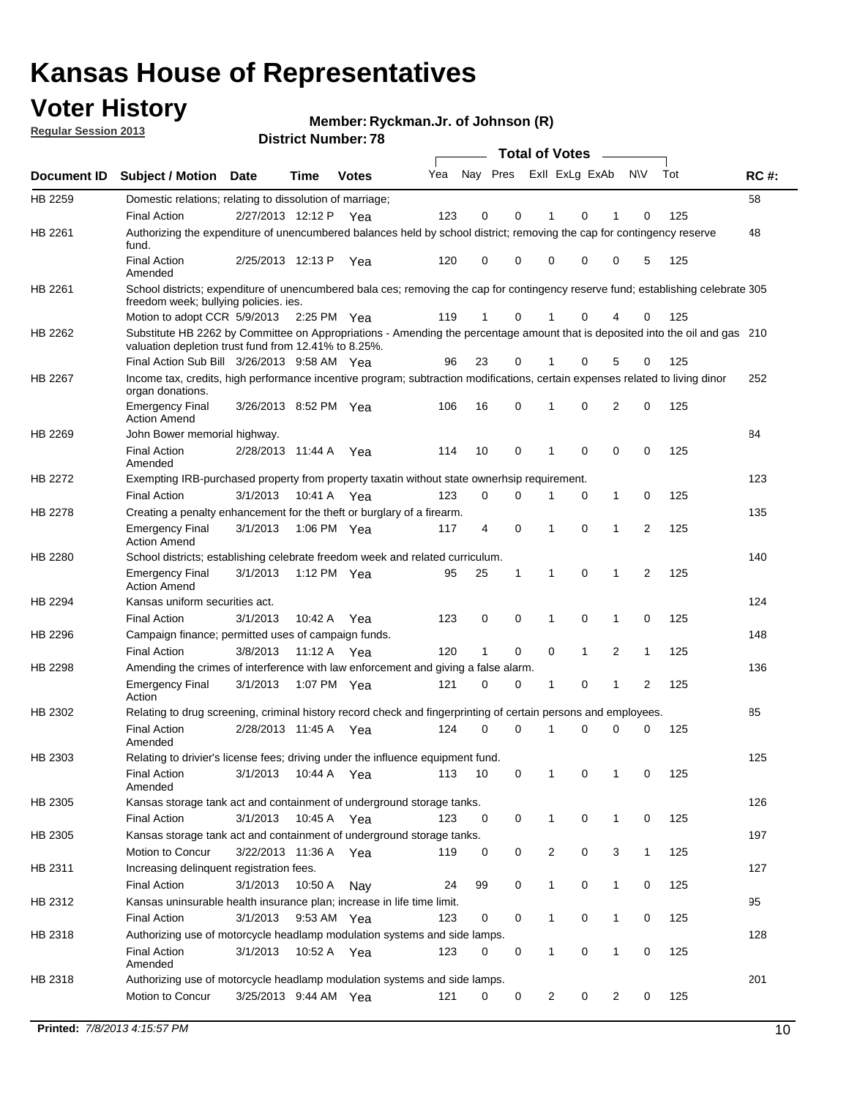## **Voter History**

**Member: Ryckman.Jr. of Johnson (R)** 

**Regular Session 2013**

|                    |                                                                                                                                                                                       |                       |             |              |     |                         |          | <b>Total of Votes</b> |   | $\overline{\phantom{a}}$ |                |     |     |
|--------------------|---------------------------------------------------------------------------------------------------------------------------------------------------------------------------------------|-----------------------|-------------|--------------|-----|-------------------------|----------|-----------------------|---|--------------------------|----------------|-----|-----|
| <b>Document ID</b> | <b>Subject / Motion Date</b>                                                                                                                                                          |                       | <b>Time</b> | <b>Votes</b> | Yea | Nay Pres Exll ExLg ExAb |          |                       |   |                          | <b>NV</b>      | Tot | RC# |
| HB 2259            | Domestic relations; relating to dissolution of marriage;                                                                                                                              |                       |             |              |     |                         |          |                       |   |                          |                |     | 58  |
|                    | <b>Final Action</b>                                                                                                                                                                   | 2/27/2013 12:12 P     |             | Yea          | 123 | 0                       | 0        | 1                     | 0 | 1                        | 0              | 125 |     |
| HB 2261            | Authorizing the expenditure of unencumbered balances held by school district; removing the cap for contingency reserve<br>fund.                                                       |                       |             |              |     |                         |          |                       |   |                          |                |     | 48  |
|                    | <b>Final Action</b><br>Amended                                                                                                                                                        | 2/25/2013 12:13 P     |             | Yea          | 120 | 0                       | 0        | 0                     | 0 | 0                        | 5              | 125 |     |
| HB 2261            | School districts; expenditure of unencumbered bala ces; removing the cap for contingency reserve fund; establishing celebrate 305<br>freedom week; bullying policies. ies.            |                       |             |              |     |                         |          |                       |   |                          |                |     |     |
|                    | Motion to adopt CCR 5/9/2013                                                                                                                                                          |                       | 2:25 PM Yea |              | 119 | 1                       | 0        | 1                     | 0 | 4                        | 0              | 125 |     |
| HB 2262            | Substitute HB 2262 by Committee on Appropriations - Amending the percentage amount that is deposited into the oil and gas 210<br>valuation depletion trust fund from 12.41% to 8.25%. |                       |             |              |     |                         |          |                       |   |                          |                |     |     |
|                    | Final Action Sub Bill 3/26/2013 9:58 AM Yea                                                                                                                                           |                       |             |              | 96  | 23                      | 0        |                       | 0 | 5                        | 0              | 125 |     |
| HB 2267            | Income tax, credits, high performance incentive program; subtraction modifications, certain expenses related to living dinor<br>organ donations.                                      |                       |             |              |     |                         |          |                       |   |                          |                |     | 252 |
|                    | <b>Emergency Final</b><br><b>Action Amend</b>                                                                                                                                         | 3/26/2013 8:52 PM Yea |             |              | 106 | 16                      | 0        | 1                     | 0 | 2                        | 0              | 125 |     |
| HB 2269            | John Bower memorial highway.                                                                                                                                                          |                       |             |              |     |                         |          |                       |   |                          |                |     | 84  |
|                    | <b>Final Action</b><br>Amended                                                                                                                                                        | 2/28/2013 11:44 A     |             | Yea          | 114 | 10                      | 0        | $\mathbf 1$           | 0 | 0                        | 0              | 125 |     |
| HB 2272            | Exempting IRB-purchased property from property taxatin without state ownerhsip requirement.                                                                                           |                       |             |              |     |                         |          |                       |   |                          |                |     | 123 |
|                    | <b>Final Action</b>                                                                                                                                                                   | 3/1/2013              | 10:41 A     | Yea          | 123 | 0                       | 0        | 1                     | 0 | $\mathbf{1}$             | 0              | 125 |     |
| HB 2278            | Creating a penalty enhancement for the theft or burglary of a firearm.                                                                                                                |                       |             |              |     |                         |          |                       |   |                          |                |     | 135 |
|                    | <b>Emergency Final</b><br><b>Action Amend</b>                                                                                                                                         | 3/1/2013              | 1:06 PM Yea |              | 117 | 4                       | 0        | 1                     | 0 | 1                        | $\overline{2}$ | 125 |     |
| HB 2280            | School districts; establishing celebrate freedom week and related curriculum.                                                                                                         |                       |             |              |     |                         |          |                       |   |                          |                |     | 140 |
|                    | <b>Emergency Final</b><br><b>Action Amend</b>                                                                                                                                         | 3/1/2013              | 1:12 PM Yea |              | 95  | 25                      | 1        | 1                     | 0 | 1                        | 2              | 125 |     |
| HB 2294            | Kansas uniform securities act.                                                                                                                                                        |                       |             |              |     |                         |          |                       |   |                          |                |     | 124 |
|                    | <b>Final Action</b>                                                                                                                                                                   | 3/1/2013              | 10:42 A     | Yea          | 123 | 0                       | 0        | 1                     | 0 | 1                        | 0              | 125 |     |
| HB 2296            | Campaign finance; permitted uses of campaign funds.                                                                                                                                   |                       |             |              |     |                         |          |                       |   |                          |                |     | 148 |
|                    | <b>Final Action</b>                                                                                                                                                                   | 3/8/2013              | 11:12 A Yea |              | 120 | 1                       | 0        | 0                     | 1 | 2                        | 1              | 125 |     |
| HB 2298            | Amending the crimes of interference with law enforcement and giving a false alarm.                                                                                                    |                       |             |              |     |                         |          |                       |   |                          |                |     | 136 |
|                    | <b>Emergency Final</b><br>Action                                                                                                                                                      | 3/1/2013              | 1:07 PM Yea |              | 121 | 0                       | 0        | 1                     | 0 | 1                        | 2              | 125 |     |
| HB 2302            | Relating to drug screening, criminal history record check and fingerprinting of certain persons and employees.                                                                        |                       |             |              |     |                         |          |                       |   |                          |                |     | 85  |
|                    | <b>Final Action</b><br>Amended                                                                                                                                                        | 2/28/2013 11:45 A     |             | Yea          | 124 | 0                       | $\Omega$ | 1                     | 0 | 0                        | 0              | 125 |     |
| HB 2303            | Relating to drivier's license fees; driving under the influence equipment fund.                                                                                                       |                       |             |              |     |                         |          |                       |   |                          |                |     | 125 |
|                    | <b>Final Action</b><br>Amended                                                                                                                                                        | 3/1/2013              | 10:44 A     | Yea          | 113 | 10                      | 0        |                       | 0 |                          | 0              | 125 |     |
| HB 2305            | Kansas storage tank act and containment of underground storage tanks.                                                                                                                 |                       |             |              |     |                         |          |                       |   |                          |                |     | 126 |
|                    | <b>Final Action</b>                                                                                                                                                                   | 3/1/2013              | 10:45 A     | Yea          | 123 | 0                       | 0        | 1                     | 0 | 1                        | 0              | 125 |     |
| HB 2305            | Kansas storage tank act and containment of underground storage tanks.                                                                                                                 |                       |             |              |     |                         |          |                       |   |                          |                |     | 197 |
|                    | Motion to Concur                                                                                                                                                                      | 3/22/2013 11:36 A     |             | Yea          | 119 | 0                       | 0        | 2                     | 0 | 3                        | $\mathbf{1}$   | 125 |     |
| HB 2311            | Increasing delinquent registration fees.                                                                                                                                              |                       |             |              |     |                         |          |                       |   |                          |                |     | 127 |
|                    | <b>Final Action</b>                                                                                                                                                                   | 3/1/2013              | 10:50 A     | Nay          | 24  | 99                      | 0        | 1                     | 0 | $\mathbf{1}$             | 0              | 125 |     |
| HB 2312            | Kansas uninsurable health insurance plan; increase in life time limit.                                                                                                                |                       |             |              |     |                         |          |                       |   |                          |                |     | 95  |
|                    | <b>Final Action</b>                                                                                                                                                                   | 3/1/2013              | 9:53 AM Yea |              | 123 | 0                       | 0        | 1                     | 0 | $\mathbf{1}$             | 0              | 125 |     |
| HB 2318            | Authorizing use of motorcycle headlamp modulation systems and side lamps.                                                                                                             |                       |             |              |     |                         |          |                       |   |                          |                |     | 128 |
|                    | <b>Final Action</b><br>Amended                                                                                                                                                        | 3/1/2013              | 10:52 A     | Yea          | 123 | 0                       | 0        | 1                     | 0 | 1                        | 0              | 125 |     |
| HB 2318            | Authorizing use of motorcycle headlamp modulation systems and side lamps.                                                                                                             |                       |             |              |     |                         |          |                       |   |                          |                |     | 201 |
|                    | Motion to Concur                                                                                                                                                                      | 3/25/2013 9:44 AM Yea |             |              | 121 | 0                       | 0        | 2                     | 0 | 2                        | 0              | 125 |     |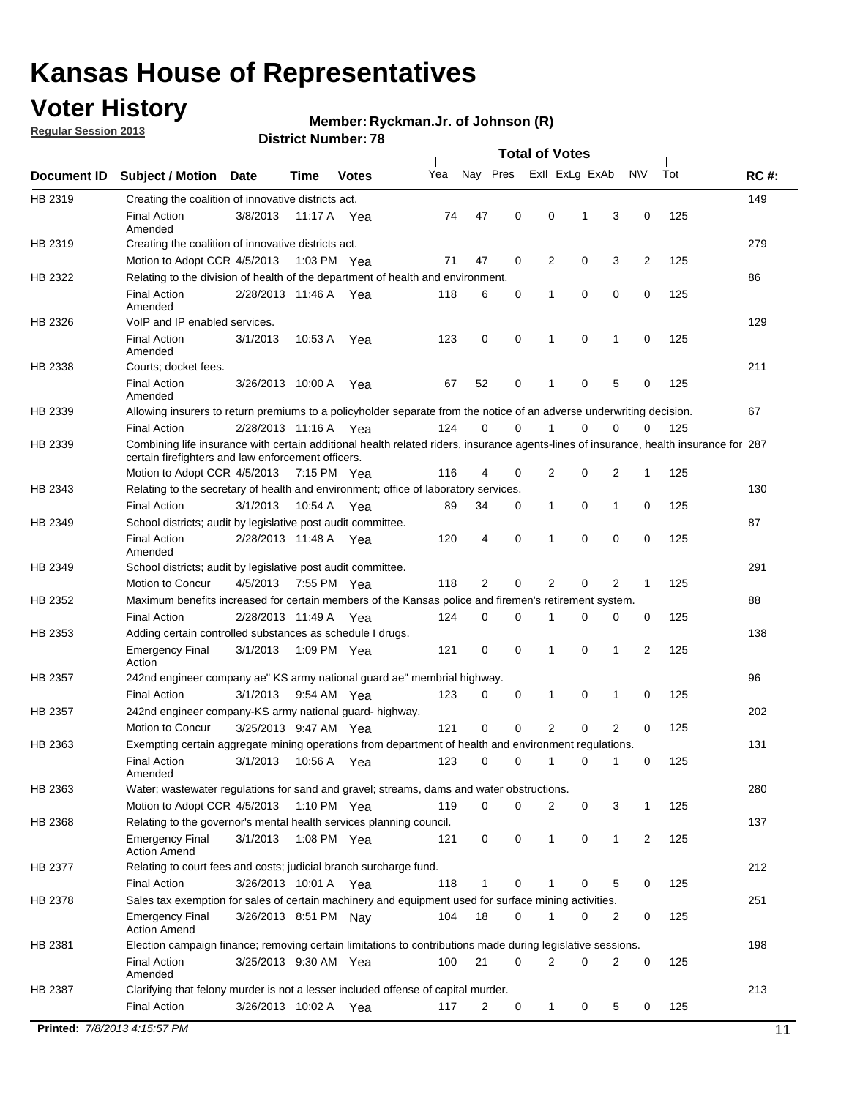## **Voter History**

**Regular Session 2013**

#### **Ryckman.Jr. of Johnson (R)**

|             |                                                                                                                                                                                             |                       |             |              |     |             |             | <b>Total of Votes</b> |   |                |           |     |             |
|-------------|---------------------------------------------------------------------------------------------------------------------------------------------------------------------------------------------|-----------------------|-------------|--------------|-----|-------------|-------------|-----------------------|---|----------------|-----------|-----|-------------|
| Document ID | <b>Subject / Motion</b>                                                                                                                                                                     | Date                  | Time        | <b>Votes</b> | Yea | Nay Pres    |             | Exll ExLg ExAb        |   |                | <b>NV</b> | Tot | <b>RC#:</b> |
| HB 2319     | Creating the coalition of innovative districts act.                                                                                                                                         |                       |             |              |     |             |             |                       |   |                |           |     | 149         |
|             | <b>Final Action</b><br>Amended                                                                                                                                                              | 3/8/2013              | 11:17 A     | Yea          | 74  | 47          | 0           | 0                     | 1 | 3              | 0         | 125 |             |
| HB 2319     | Creating the coalition of innovative districts act.                                                                                                                                         |                       |             |              |     |             |             |                       |   |                |           |     | 279         |
|             | Motion to Adopt CCR 4/5/2013                                                                                                                                                                |                       | 1:03 PM Yea |              | 71  | 47          | 0           | 2                     | 0 | 3              | 2         | 125 |             |
| HB 2322     | Relating to the division of health of the department of health and environment.                                                                                                             |                       |             |              |     |             |             |                       |   |                |           |     | 86          |
|             | <b>Final Action</b><br>Amended                                                                                                                                                              | 2/28/2013 11:46 A Yea |             |              | 118 | 6           | 0           | 1                     | 0 | 0              | 0         | 125 |             |
| HB 2326     | VoIP and IP enabled services.                                                                                                                                                               |                       |             |              |     |             |             |                       |   |                |           |     | 129         |
|             | <b>Final Action</b><br>Amended                                                                                                                                                              | 3/1/2013              | 10:53 A     | Yea          | 123 | 0           | 0           | $\mathbf{1}$          | 0 | 1              | 0         | 125 |             |
| HB 2338     | Courts; docket fees.                                                                                                                                                                        |                       |             |              |     |             |             |                       |   |                |           |     | 211         |
|             | <b>Final Action</b><br>Amended                                                                                                                                                              | 3/26/2013 10:00 A     |             | Yea          | 67  | 52          | 0           | 1                     | 0 | 5              | 0         | 125 |             |
| HB 2339     | Allowing insurers to return premiums to a policyholder separate from the notice of an adverse underwriting decision.                                                                        |                       |             |              |     |             |             |                       |   |                |           |     | 67          |
|             | <b>Final Action</b>                                                                                                                                                                         | 2/28/2013 11:16 A Yea |             |              | 124 | 0           | 0           |                       | 0 | 0              | 0         | 125 |             |
| HB 2339     | Combining life insurance with certain additional health related riders, insurance agents-lines of insurance, health insurance for 287<br>certain firefighters and law enforcement officers. |                       |             |              |     |             |             |                       |   |                |           |     |             |
|             | Motion to Adopt CCR 4/5/2013 7:15 PM Yea                                                                                                                                                    |                       |             |              | 116 | 4           | 0           | 2                     | 0 | 2              | -1        | 125 |             |
| HB 2343     | Relating to the secretary of health and environment; office of laboratory services.                                                                                                         |                       |             |              |     |             |             |                       |   |                |           |     | 130         |
|             | <b>Final Action</b>                                                                                                                                                                         | 3/1/2013              | 10:54 A Yea |              | 89  | 34          | 0           | 1                     | 0 | 1              | 0         | 125 |             |
| HB 2349     | School districts; audit by legislative post audit committee.                                                                                                                                |                       |             |              |     |             |             |                       |   |                |           |     | 87          |
|             | <b>Final Action</b><br>Amended                                                                                                                                                              | 2/28/2013 11:48 A Yea |             |              | 120 | 4           | $\mathbf 0$ | 1                     | 0 | 0              | 0         | 125 |             |
| HB 2349     | School districts; audit by legislative post audit committee.                                                                                                                                |                       |             |              |     |             |             |                       |   |                |           |     | 291         |
|             | Motion to Concur                                                                                                                                                                            | 4/5/2013              | 7:55 PM Yea |              | 118 | 2           | $\mathbf 0$ | 2                     | 0 | 2              | 1         | 125 |             |
| HB 2352     | Maximum benefits increased for certain members of the Kansas police and firemen's retirement system.                                                                                        |                       |             |              |     |             |             |                       |   |                |           |     | 88          |
|             | <b>Final Action</b>                                                                                                                                                                         | 2/28/2013 11:49 A     |             | Yea          | 124 | 0           | 0           | 1                     | 0 | 0              | 0         | 125 |             |
| HB 2353     | Adding certain controlled substances as schedule I drugs.                                                                                                                                   |                       |             |              |     |             |             |                       |   |                |           |     | 138         |
|             | <b>Emergency Final</b><br>Action                                                                                                                                                            | 3/1/2013              |             | 1:09 PM Yea  | 121 | 0           | 0           | 1                     | 0 | 1              | 2         | 125 |             |
| HB 2357     | 242nd engineer company ae" KS army national guard ae" membrial highway.                                                                                                                     |                       |             |              |     |             |             |                       |   |                |           |     | 96          |
|             | <b>Final Action</b>                                                                                                                                                                         | 3/1/2013              | 9:54 AM Yea |              | 123 | 0           | 0           | 1                     | 0 | 1              | 0         | 125 |             |
| HB 2357     | 242nd engineer company-KS army national guard- highway.                                                                                                                                     |                       |             |              |     |             |             |                       |   |                |           |     | 202         |
|             | Motion to Concur                                                                                                                                                                            | 3/25/2013 9:47 AM Yea |             |              | 121 | $\mathbf 0$ | $\mathbf 0$ | $\overline{2}$        | 0 | $\overline{2}$ | 0         | 125 |             |
| HB 2363     | Exempting certain aggregate mining operations from department of health and environment regulations.                                                                                        |                       |             |              |     |             |             |                       |   |                |           |     | 131         |
|             | <b>Final Action</b><br>Amended                                                                                                                                                              | 3/1/2013              | 10:56 A     | Yea          | 123 | 0           | 0           | 1                     | 0 | 1              | 0         | 125 |             |
| HB 2363     | Water; wastewater regulations for sand and gravel; streams, dams and water obstructions.                                                                                                    |                       |             |              |     |             |             |                       |   |                |           |     | 280         |
|             | Motion to Adopt CCR 4/5/2013                                                                                                                                                                |                       |             | 1:10 PM Yea  | 119 | 0           | 0           | 2                     | 0 | 3              |           | 125 |             |
| HB 2368     | Relating to the governor's mental health services planning council.                                                                                                                         |                       |             |              |     |             |             |                       |   |                |           |     | 137         |
|             | Emergency Final<br><b>Action Amend</b>                                                                                                                                                      | 3/1/2013              | 1:08 PM Yea |              | 121 | 0           | 0           | $\mathbf{1}$          | 0 | 1              | 2         | 125 |             |
| HB 2377     | Relating to court fees and costs; judicial branch surcharge fund.                                                                                                                           |                       |             |              |     |             |             |                       |   |                |           |     | 212         |
|             | <b>Final Action</b>                                                                                                                                                                         | 3/26/2013 10:01 A Yea |             |              | 118 | 1           | 0           |                       | 0 | 5              | 0         | 125 |             |
| HB 2378     | Sales tax exemption for sales of certain machinery and equipment used for surface mining activities.                                                                                        |                       |             |              |     |             |             |                       |   |                |           |     | 251         |
|             | <b>Emergency Final</b><br><b>Action Amend</b>                                                                                                                                               | 3/26/2013 8:51 PM Nay |             |              | 104 | 18          | 0           | 1                     | 0 | 2              | 0         | 125 |             |
| HB 2381     | Election campaign finance; removing certain limitations to contributions made during legislative sessions.                                                                                  |                       |             |              |     |             |             |                       |   |                |           |     | 198         |
|             | Final Action<br>Amended                                                                                                                                                                     | 3/25/2013 9:30 AM Yea |             |              | 100 | 21          | 0           | 2                     | 0 | 2              | 0         | 125 |             |
| HB 2387     | Clarifying that felony murder is not a lesser included offense of capital murder.                                                                                                           |                       |             |              |     |             |             |                       |   |                |           |     | 213         |
|             | <b>Final Action</b>                                                                                                                                                                         | 3/26/2013 10:02 A     |             | Yea          | 117 | 2           | 0           | $\mathbf{1}$          | 0 | 5              | 0         | 125 |             |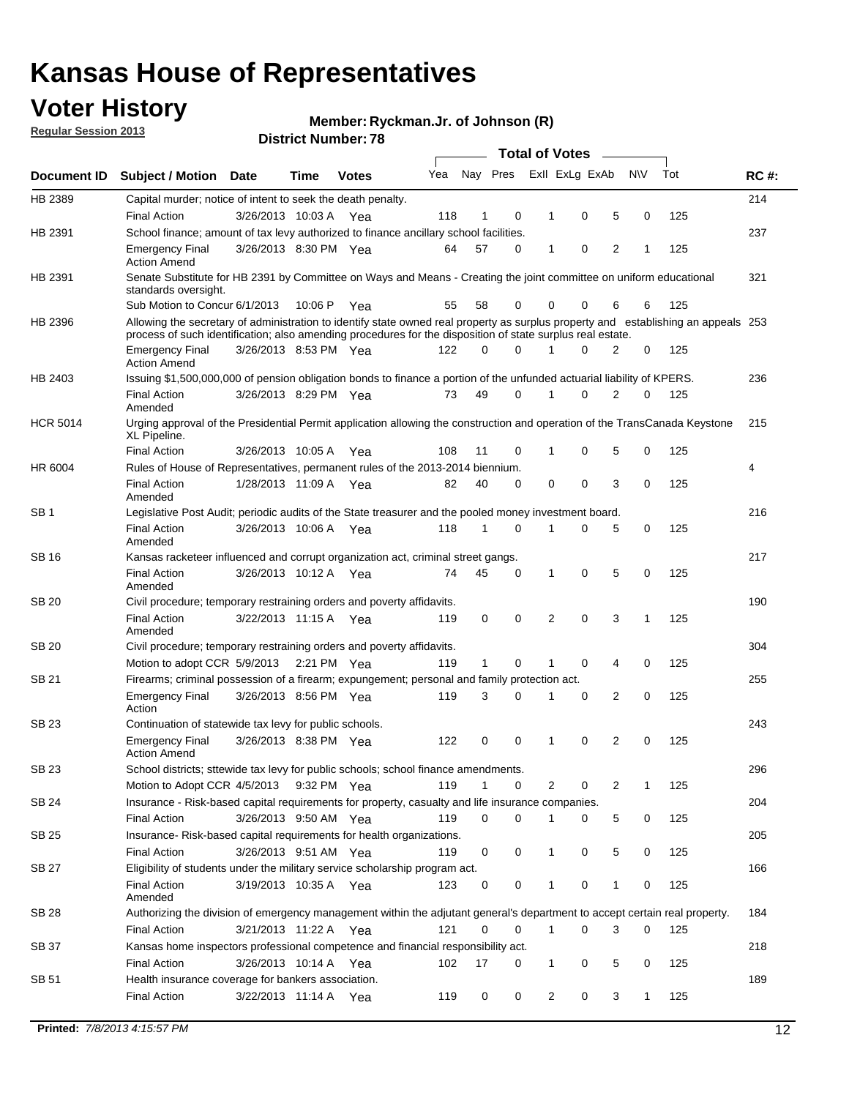## **Voter History**

**Ryckman.Jr. of Johnson (R)**

**Regular Session 2013**

|                 |                                                                                                                                                                                                                                                  |                       |         |              |     |              |          | <b>Total of Votes</b> |   |   |           |     |             |
|-----------------|--------------------------------------------------------------------------------------------------------------------------------------------------------------------------------------------------------------------------------------------------|-----------------------|---------|--------------|-----|--------------|----------|-----------------------|---|---|-----------|-----|-------------|
| Document ID     | <b>Subject / Motion Date</b>                                                                                                                                                                                                                     |                       | Time    | <b>Votes</b> | Yea | Nay Pres     |          | Exll ExLg ExAb        |   |   | <b>NV</b> | Tot | <b>RC#:</b> |
| HB 2389         | Capital murder; notice of intent to seek the death penalty.                                                                                                                                                                                      |                       |         |              |     |              |          |                       |   |   |           |     | 214         |
|                 | <b>Final Action</b>                                                                                                                                                                                                                              | 3/26/2013 10:03 A     |         | Yea          | 118 | 1            | 0        | 1                     | 0 | 5 | 0         | 125 |             |
| HB 2391         | School finance; amount of tax levy authorized to finance ancillary school facilities.                                                                                                                                                            |                       |         |              |     |              |          |                       |   |   |           |     | 237         |
|                 | <b>Emergency Final</b><br><b>Action Amend</b>                                                                                                                                                                                                    | 3/26/2013 8:30 PM Yea |         |              | 64  | 57           | 0        | 1                     | 0 | 2 | 1         | 125 |             |
| HB 2391         | Senate Substitute for HB 2391 by Committee on Ways and Means - Creating the joint committee on uniform educational<br>standards oversight.                                                                                                       |                       |         |              |     |              |          |                       |   |   |           |     | 321         |
|                 | Sub Motion to Concur 6/1/2013                                                                                                                                                                                                                    |                       | 10:06 P | Yea          | 55  | 58           | 0        | 0                     | 0 | 6 | 6         | 125 |             |
| HB 2396         | Allowing the secretary of administration to identify state owned real property as surplus property and establishing an appeals 253<br>process of such identification; also amending procedures for the disposition of state surplus real estate. |                       |         |              |     |              |          |                       |   |   |           |     |             |
|                 | <b>Emergency Final</b><br><b>Action Amend</b>                                                                                                                                                                                                    | 3/26/2013 8:53 PM Yea |         |              | 122 | 0            | 0        | 1                     | 0 | 2 | 0         | 125 |             |
| HB 2403         | Issuing \$1,500,000,000 of pension obligation bonds to finance a portion of the unfunded actuarial liability of KPERS.                                                                                                                           |                       |         |              |     |              |          |                       |   |   |           |     | 236         |
|                 | <b>Final Action</b><br>Amended                                                                                                                                                                                                                   | 3/26/2013 8:29 PM Yea |         |              | 73  | 49           | 0        | 1                     | 0 | 2 | 0         | 125 |             |
| <b>HCR 5014</b> | Urging approval of the Presidential Permit application allowing the construction and operation of the TransCanada Keystone<br>XL Pipeline.                                                                                                       |                       |         |              |     |              |          |                       |   |   |           |     | 215         |
|                 | <b>Final Action</b>                                                                                                                                                                                                                              | 3/26/2013 10:05 A     |         | Yea          | 108 | 11           | 0        | 1                     | 0 | 5 | 0         | 125 |             |
| HR 6004         | Rules of House of Representatives, permanent rules of the 2013-2014 biennium.                                                                                                                                                                    |                       |         |              |     |              |          |                       |   |   |           |     | 4           |
|                 | <b>Final Action</b><br>Amended                                                                                                                                                                                                                   | 1/28/2013 11:09 A     |         | Yea          | 82  | 40           | 0        | 0                     | 0 | 3 | 0         | 125 |             |
| SB <sub>1</sub> | Legislative Post Audit; periodic audits of the State treasurer and the pooled money investment board.                                                                                                                                            |                       |         |              |     |              |          |                       |   |   |           |     | 216         |
|                 | <b>Final Action</b><br>Amended                                                                                                                                                                                                                   | 3/26/2013 10:06 A Yea |         |              | 118 | $\mathbf 1$  | 0        | 1                     | 0 | 5 | 0         | 125 |             |
| SB 16           | Kansas racketeer influenced and corrupt organization act, criminal street gangs.                                                                                                                                                                 |                       |         |              |     |              |          |                       |   |   |           |     | 217         |
|                 | <b>Final Action</b><br>Amended                                                                                                                                                                                                                   | 3/26/2013 10:12 A Yea |         |              | 74  | 45           | 0        | 1                     | 0 | 5 | 0         | 125 |             |
| SB 20           | Civil procedure; temporary restraining orders and poverty affidavits.                                                                                                                                                                            |                       |         |              |     |              |          |                       |   |   |           |     | 190         |
|                 | <b>Final Action</b><br>Amended                                                                                                                                                                                                                   | 3/22/2013 11:15 A     |         | Yea          | 119 | 0            | 0        | 2                     | 0 | 3 | 1         | 125 |             |
| SB 20           | Civil procedure; temporary restraining orders and poverty affidavits.                                                                                                                                                                            |                       |         |              |     |              |          |                       |   |   |           |     | 304         |
|                 | Motion to adopt CCR 5/9/2013 2:21 PM Yea                                                                                                                                                                                                         |                       |         |              | 119 | $\mathbf{1}$ | 0        | 1                     | 0 | 4 | 0         | 125 |             |
| SB 21           | Firearms; criminal possession of a firearm; expungement; personal and family protection act.                                                                                                                                                     |                       |         |              |     |              |          |                       |   |   |           |     | 255         |
|                 | <b>Emergency Final</b><br>Action                                                                                                                                                                                                                 | 3/26/2013 8:56 PM Yea |         |              | 119 | 3            | 0        | 1                     | 0 | 2 | 0         | 125 |             |
| SB 23           | Continuation of statewide tax levy for public schools.                                                                                                                                                                                           |                       |         |              |     |              |          |                       |   |   |           |     | 243         |
|                 | <b>Emergency Final</b><br><b>Action Amend</b>                                                                                                                                                                                                    | 3/26/2013 8:38 PM Yea |         |              | 122 | 0            | 0        | 1                     | 0 | 2 | 0         | 125 |             |
| SB 23           | School districts; sttewide tax levy for public schools; school finance amendments.                                                                                                                                                               |                       |         |              |     |              |          |                       |   |   |           |     | 296         |
|                 | Motion to Adopt CCR 4/5/2013 9:32 PM Yea                                                                                                                                                                                                         |                       |         |              | 119 | $\mathbf 1$  | 0        | 2                     | 0 | 2 | 1         | 125 |             |
| SB 24           | Insurance - Risk-based capital requirements for property, casualty and life insurance companies.                                                                                                                                                 |                       |         |              |     |              |          |                       |   |   |           |     | 204         |
|                 | <b>Final Action</b>                                                                                                                                                                                                                              | 3/26/2013 9:50 AM Yea |         |              | 119 | 0            | 0        | 1                     | 0 | 5 | 0         | 125 |             |
| SB 25           | Insurance-Risk-based capital requirements for health organizations.                                                                                                                                                                              |                       |         |              |     |              |          |                       |   |   |           |     | 205         |
|                 | <b>Final Action</b>                                                                                                                                                                                                                              | 3/26/2013 9:51 AM Yea |         |              | 119 | 0            | 0        | 1                     | 0 | 5 | 0         | 125 |             |
| SB 27           | Eligibility of students under the military service scholarship program act.                                                                                                                                                                      |                       |         |              |     |              |          |                       |   |   |           |     | 166         |
|                 | <b>Final Action</b><br>Amended                                                                                                                                                                                                                   | 3/19/2013 10:35 A Yea |         |              | 123 | 0            | 0        | 1                     | 0 | 1 | 0         | 125 |             |
| SB 28           | Authorizing the division of emergency management within the adjutant general's department to accept certain real property.                                                                                                                       |                       |         |              |     |              |          |                       |   |   |           |     | 184         |
|                 | Final Action                                                                                                                                                                                                                                     | 3/21/2013 11:22 A Yea |         |              | 121 | 0            | $\Omega$ | 1                     | 0 | 3 | 0         | 125 |             |
| SB 37           | Kansas home inspectors professional competence and financial responsibility act.                                                                                                                                                                 |                       |         |              |     |              |          |                       |   |   |           |     | 218         |
|                 | <b>Final Action</b>                                                                                                                                                                                                                              | 3/26/2013 10:14 A Yea |         |              | 102 | 17           | 0        | 1                     | 0 | 5 | 0         | 125 |             |
| SB 51           | Health insurance coverage for bankers association.                                                                                                                                                                                               |                       |         |              |     |              |          |                       |   |   |           |     | 189         |
|                 | <b>Final Action</b>                                                                                                                                                                                                                              | 3/22/2013 11:14 A Yea |         |              | 119 | 0            | 0        | 2                     | 0 | 3 | 1         | 125 |             |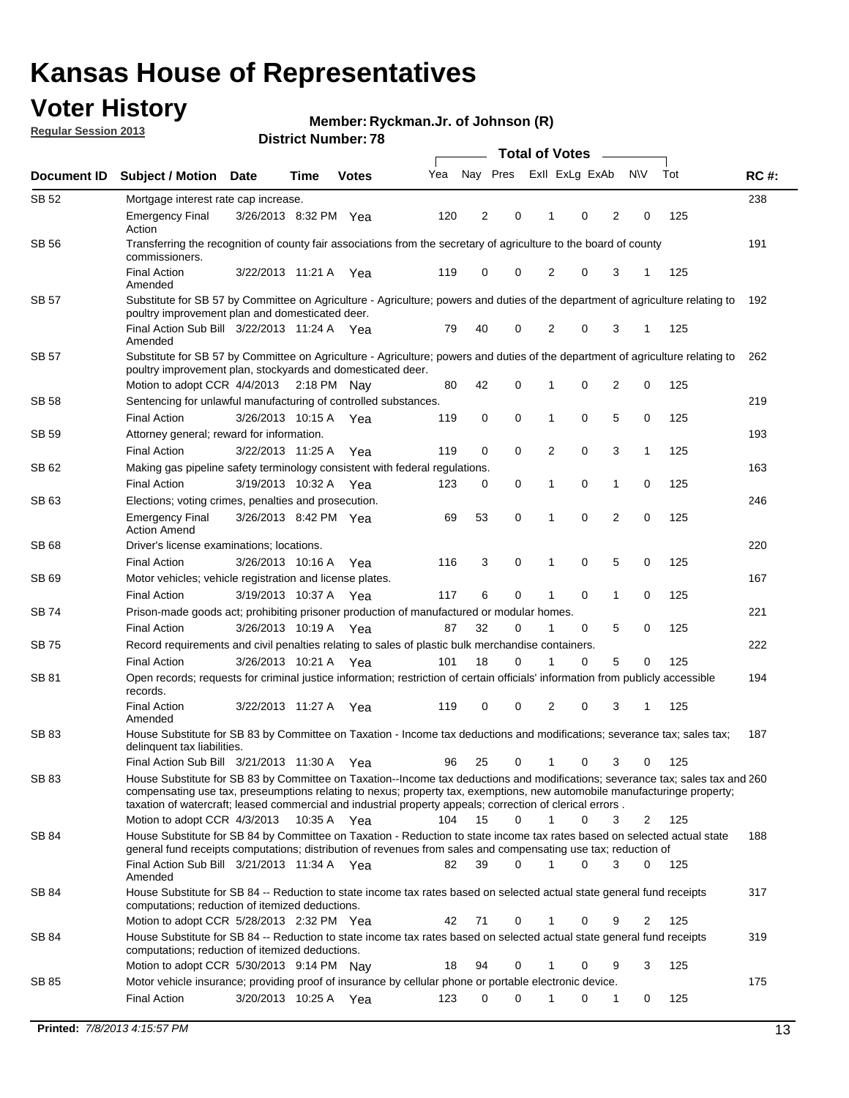## **Voter History**

**Ryckman.Jr. of Johnson (R)**

**Regular Session 2013**

|              |                                                                                                                                                                                                                                                                                           |                       |             |              |     | <b>Total of Votes</b> |             |                |   |                |              |     |             |  |
|--------------|-------------------------------------------------------------------------------------------------------------------------------------------------------------------------------------------------------------------------------------------------------------------------------------------|-----------------------|-------------|--------------|-----|-----------------------|-------------|----------------|---|----------------|--------------|-----|-------------|--|
| Document ID  | <b>Subject / Motion Date</b>                                                                                                                                                                                                                                                              |                       | Time        | <b>Votes</b> | Yea | Nay Pres              |             | Exll ExLg ExAb |   |                | <b>NV</b>    | Tot | <b>RC#:</b> |  |
| SB 52        | Mortgage interest rate cap increase.                                                                                                                                                                                                                                                      |                       |             |              |     |                       |             |                |   |                |              |     | 238         |  |
|              | <b>Emergency Final</b><br>Action                                                                                                                                                                                                                                                          | 3/26/2013 8:32 PM Yea |             |              | 120 | 2                     | 0           | 1              | 0 | 2              | 0            | 125 |             |  |
| SB 56        | Transferring the recognition of county fair associations from the secretary of agriculture to the board of county<br>commissioners.                                                                                                                                                       |                       |             |              |     |                       |             |                |   |                |              |     | 191         |  |
|              | <b>Final Action</b><br>Amended                                                                                                                                                                                                                                                            | 3/22/2013 11:21 A     |             | Yea          | 119 | 0                     | 0           | 2              | 0 | 3              |              | 125 |             |  |
| <b>SB 57</b> | Substitute for SB 57 by Committee on Agriculture - Agriculture; powers and duties of the department of agriculture relating to<br>poultry improvement plan and domesticated deer.                                                                                                         |                       |             |              |     |                       |             |                |   |                |              |     | 192         |  |
|              | Final Action Sub Bill 3/22/2013 11:24 A Yea<br>Amended                                                                                                                                                                                                                                    |                       |             |              | 79  | 40                    | 0           | 2              | 0 | 3              | -1           | 125 |             |  |
| <b>SB 57</b> | Substitute for SB 57 by Committee on Agriculture - Agriculture; powers and duties of the department of agriculture relating to<br>poultry improvement plan, stockyards and domesticated deer.                                                                                             |                       |             |              |     |                       |             |                |   |                |              |     | 262         |  |
|              | Motion to adopt CCR 4/4/2013                                                                                                                                                                                                                                                              |                       | 2:18 PM Nay |              | 80  | 42                    | 0           | 1              | 0 | 2              | 0            | 125 |             |  |
| SB 58        | Sentencing for unlawful manufacturing of controlled substances.                                                                                                                                                                                                                           |                       |             |              |     |                       |             |                |   |                |              |     | 219         |  |
|              | <b>Final Action</b>                                                                                                                                                                                                                                                                       | 3/26/2013 10:15 A     |             | Yea          | 119 | 0                     | $\mathbf 0$ | 1              | 0 | 5              | 0            | 125 |             |  |
| SB 59        | Attorney general; reward for information.                                                                                                                                                                                                                                                 |                       |             |              |     |                       |             |                |   |                |              |     | 193         |  |
|              | <b>Final Action</b>                                                                                                                                                                                                                                                                       | 3/22/2013 11:25 A     |             | Yea          | 119 | 0                     | $\mathbf 0$ | $\overline{2}$ | 0 | 3              | $\mathbf{1}$ | 125 |             |  |
| SB 62        | Making gas pipeline safety terminology consistent with federal regulations.                                                                                                                                                                                                               |                       |             |              |     |                       |             |                |   |                |              |     | 163         |  |
|              | <b>Final Action</b>                                                                                                                                                                                                                                                                       | 3/19/2013 10:32 A     |             | Yea          | 123 | 0                     | 0           | 1              | 0 | 1              | 0            | 125 |             |  |
| SB 63        | Elections; voting crimes, penalties and prosecution.                                                                                                                                                                                                                                      |                       |             |              |     |                       |             |                |   |                |              |     | 246         |  |
|              | <b>Emergency Final</b><br><b>Action Amend</b>                                                                                                                                                                                                                                             | 3/26/2013 8:42 PM Yea |             |              | 69  | 53                    | $\mathbf 0$ | 1              | 0 | $\overline{2}$ | 0            | 125 |             |  |
| SB 68        | Driver's license examinations; locations.                                                                                                                                                                                                                                                 |                       |             |              |     |                       |             |                |   |                |              |     | 220         |  |
|              | <b>Final Action</b>                                                                                                                                                                                                                                                                       | 3/26/2013 10:16 A     |             | Yea          | 116 | 3                     | 0           | 1              | 0 | 5              | 0            | 125 |             |  |
| SB 69        | Motor vehicles; vehicle registration and license plates.                                                                                                                                                                                                                                  |                       |             |              |     |                       |             |                |   |                |              |     | 167         |  |
|              | <b>Final Action</b>                                                                                                                                                                                                                                                                       | 3/19/2013 10:37 A     |             | Yea          | 117 | 6                     | 0           | 1              | 0 | 1              | 0            | 125 |             |  |
| SB 74        | Prison-made goods act; prohibiting prisoner production of manufactured or modular homes.                                                                                                                                                                                                  |                       |             |              |     |                       |             |                |   |                |              |     | 221         |  |
|              | <b>Final Action</b>                                                                                                                                                                                                                                                                       | 3/26/2013 10:19 A     |             | Yea          | 87  | 32                    | 0           | 1              | 0 | 5              | 0            | 125 |             |  |
| SB 75        | Record requirements and civil penalties relating to sales of plastic bulk merchandise containers.                                                                                                                                                                                         |                       |             |              |     |                       |             |                |   |                |              |     | 222         |  |
|              | <b>Final Action</b>                                                                                                                                                                                                                                                                       | 3/26/2013 10:21 A     |             | Yea          | 101 | 18                    | 0           | 1              | 0 | 5              | 0            | 125 |             |  |
| SB 81        | Open records; requests for criminal justice information; restriction of certain officials' information from publicly accessible<br>records.                                                                                                                                               |                       |             |              |     |                       |             |                |   |                |              |     | 194         |  |
|              | <b>Final Action</b><br>Amended                                                                                                                                                                                                                                                            | 3/22/2013 11:27 A     |             | Yea          | 119 | 0                     | 0           | 2              | 0 | 3              | 1            | 125 |             |  |
| SB 83        | House Substitute for SB 83 by Committee on Taxation - Income tax deductions and modifications; severance tax; sales tax;<br>delinquent tax liabilities.<br>Final Action Sub Bill 3/21/2013 11:30 A Yea                                                                                    |                       |             |              | 96  | 25                    | 0           | 1              | 0 | 3              | 0            | 125 | 187         |  |
| SB 83        | House Substitute for SB 83 by Committee on Taxation--Income tax deductions and modifications; severance tax; sales tax and 260                                                                                                                                                            |                       |             |              |     |                       |             |                |   |                |              |     |             |  |
|              | compensating use tax, preseumptions relating to nexus; property tax, exemptions, new automobile manufacturinge property;<br>taxation of watercraft; leased commercial and industrial property appeals; correction of clerical errors.                                                     |                       |             |              |     |                       |             |                |   |                |              |     |             |  |
|              | Motion to adopt CCR 4/3/2013                                                                                                                                                                                                                                                              |                       | 10:35 A Yea |              | 104 | 15                    | $\Omega$    | $\mathbf{1}$   | 0 | 3              | 2            | 125 |             |  |
| SB 84        | House Substitute for SB 84 by Committee on Taxation - Reduction to state income tax rates based on selected actual state<br>general fund receipts computations; distribution of revenues from sales and compensating use tax; reduction of<br>Final Action Sub Bill 3/21/2013 11:34 A Yea |                       |             |              | 82  | 39                    | $\Omega$    |                | 0 | 3              | $\Omega$     | 125 | 188         |  |
| SB 84        | Amended<br>House Substitute for SB 84 -- Reduction to state income tax rates based on selected actual state general fund receipts                                                                                                                                                         |                       |             |              |     |                       |             |                |   |                |              |     | 317         |  |
|              | computations; reduction of itemized deductions.<br>Motion to adopt CCR 5/28/2013 2:32 PM Yea                                                                                                                                                                                              |                       |             |              | 42  | 71                    | 0           |                | 0 | 9              | 2            | 125 |             |  |
| SB 84        | House Substitute for SB 84 -- Reduction to state income tax rates based on selected actual state general fund receipts                                                                                                                                                                    |                       |             |              |     |                       |             |                |   |                |              |     | 319         |  |
|              | computations; reduction of itemized deductions.<br>Motion to adopt CCR 5/30/2013 9:14 PM Nay                                                                                                                                                                                              |                       |             |              | 18  | 94                    | 0           | 1              | 0 | 9              | 3            | 125 |             |  |
| SB 85        | Motor vehicle insurance; providing proof of insurance by cellular phone or portable electronic device.                                                                                                                                                                                    |                       |             |              |     |                       |             |                |   |                |              |     | 175         |  |
|              | <b>Final Action</b>                                                                                                                                                                                                                                                                       | 3/20/2013 10:25 A Yea |             |              | 123 | 0                     | 0           |                | 0 | 1              | 0            | 125 |             |  |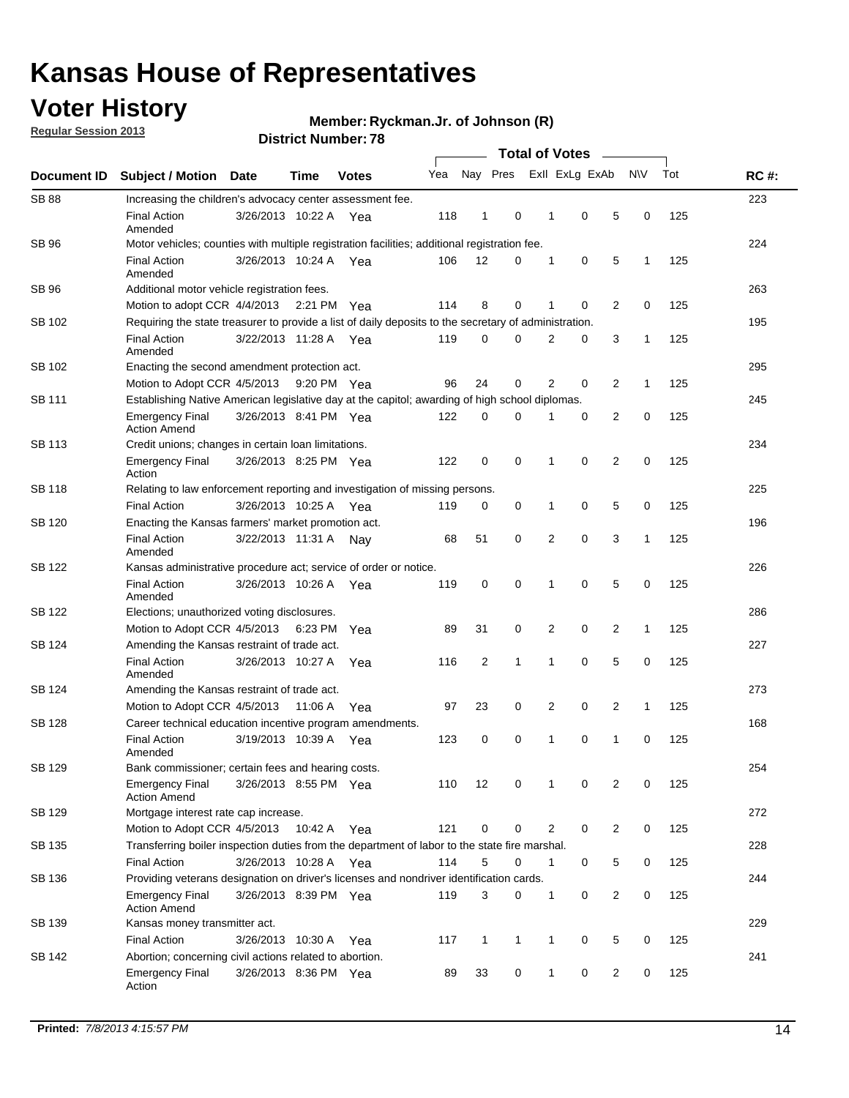## **Voter History**

**Regular Session 2013**

**Member: Ryckman.Jr. of Johnson (R)** 

| Document ID   | <b>Subject / Motion Date</b>                                                                          |                                                    | Time    | <b>Votes</b> | Yea | Nay Pres       |              |   | Exll ExLg ExAb |                | <b>NV</b>    | Tot | <b>RC#:</b> |  |  |  |  |  |  |  |  |
|---------------|-------------------------------------------------------------------------------------------------------|----------------------------------------------------|---------|--------------|-----|----------------|--------------|---|----------------|----------------|--------------|-----|-------------|--|--|--|--|--|--|--|--|
| <b>SB 88</b>  | Increasing the children's advocacy center assessment fee.                                             |                                                    |         |              |     |                |              |   |                |                |              |     | 223         |  |  |  |  |  |  |  |  |
|               | <b>Final Action</b><br>Amended                                                                        | 3/26/2013 10:22 A Yea                              |         |              | 118 | $\mathbf{1}$   | 0            | 1 | 0              | 5              | 0            | 125 |             |  |  |  |  |  |  |  |  |
| SB 96         | Motor vehicles; counties with multiple registration facilities; additional registration fee.          |                                                    |         |              |     |                |              |   |                |                |              |     | 224         |  |  |  |  |  |  |  |  |
|               | <b>Final Action</b><br>Amended                                                                        | 3/26/2013 10:24 A Yea                              |         |              | 106 | 12             | 0            | 1 | 0              | 5              | 1            | 125 |             |  |  |  |  |  |  |  |  |
| SB 96         | Additional motor vehicle registration fees.                                                           |                                                    |         |              |     |                |              |   |                |                |              |     | 263         |  |  |  |  |  |  |  |  |
|               | Motion to adopt CCR 4/4/2013 2:21 PM Yea                                                              |                                                    |         |              | 114 | 8              | 0            | 1 | 0              | 2              | 0            | 125 |             |  |  |  |  |  |  |  |  |
| SB 102        | Requiring the state treasurer to provide a list of daily deposits to the secretary of administration. |                                                    |         |              |     |                |              |   |                |                |              |     | 195         |  |  |  |  |  |  |  |  |
|               | <b>Final Action</b><br>Amended                                                                        | 3/22/2013 11:28 A Yea                              |         |              | 119 | 0              | 0            | 2 | 0              | 3              | 1            | 125 |             |  |  |  |  |  |  |  |  |
| SB 102        | Enacting the second amendment protection act.                                                         |                                                    |         |              |     |                |              |   |                |                |              |     |             |  |  |  |  |  |  |  |  |
|               | Motion to Adopt CCR 4/5/2013                                                                          |                                                    |         | 9:20 PM Yea  | 96  | 24             | 0            | 2 | 0              | $\overline{2}$ | 1            | 125 |             |  |  |  |  |  |  |  |  |
| SB 111        | Establishing Native American legislative day at the capitol; awarding of high school diplomas.        |                                                    |         |              |     |                |              |   |                |                |              |     |             |  |  |  |  |  |  |  |  |
|               | <b>Emergency Final</b><br><b>Action Amend</b>                                                         | 3/26/2013 8:41 PM Yea                              |         |              | 122 | 0              | 0            | 1 | 0              | 2              | 0            | 125 |             |  |  |  |  |  |  |  |  |
| SB 113        | Credit unions; changes in certain loan limitations.                                                   |                                                    |         |              |     |                |              |   |                |                |              |     | 234         |  |  |  |  |  |  |  |  |
|               | <b>Emergency Final</b><br>Action                                                                      | 3/26/2013 8:25 PM Yea                              |         |              | 122 | 0              | 0            | 1 | 0              | 2              | 0            | 125 |             |  |  |  |  |  |  |  |  |
| SB 118        | Relating to law enforcement reporting and investigation of missing persons.                           |                                                    |         |              |     |                |              |   |                |                |              |     | 225         |  |  |  |  |  |  |  |  |
|               | <b>Final Action</b>                                                                                   | 3/26/2013 10:25 A Yea                              |         |              | 119 | 0              | 0            | 1 | 0              | 5              | 0            | 125 |             |  |  |  |  |  |  |  |  |
| SB 120        | Enacting the Kansas farmers' market promotion act.                                                    |                                                    |         |              |     |                |              |   |                |                |              |     | 196         |  |  |  |  |  |  |  |  |
|               | <b>Final Action</b><br>Amended                                                                        | 3/22/2013 11:31 A Nav                              |         |              | 68  | 51             | 0            | 2 | $\mathbf 0$    | 3              | $\mathbf{1}$ | 125 |             |  |  |  |  |  |  |  |  |
| SB 122        | Kansas administrative procedure act; service of order or notice.                                      |                                                    |         |              |     |                |              |   |                |                |              |     | 226         |  |  |  |  |  |  |  |  |
|               | <b>Final Action</b><br>Amended                                                                        | 3/26/2013 10:26 A                                  |         | Yea          | 119 | 0              | 0            | 1 | $\mathbf 0$    | 5              | 0            | 125 |             |  |  |  |  |  |  |  |  |
| SB 122        | Elections; unauthorized voting disclosures.                                                           |                                                    |         |              |     |                |              |   |                |                |              |     |             |  |  |  |  |  |  |  |  |
|               | Motion to Adopt CCR 4/5/2013                                                                          |                                                    | 6:23 PM | Yea          | 89  | 31             | 0            | 2 | 0              | 2              | 1            | 125 |             |  |  |  |  |  |  |  |  |
| SB 124        | Amending the Kansas restraint of trade act.                                                           |                                                    |         |              |     |                |              |   |                |                |              |     | 227         |  |  |  |  |  |  |  |  |
|               | <b>Final Action</b><br>Amended                                                                        | 3/26/2013 10:27 A                                  |         | Yea          | 116 | $\overline{2}$ | 1            | 1 | 0              | 5              | 0            | 125 |             |  |  |  |  |  |  |  |  |
| SB 124        |                                                                                                       | 273<br>Amending the Kansas restraint of trade act. |         |              |     |                |              |   |                |                |              |     |             |  |  |  |  |  |  |  |  |
|               | Motion to Adopt CCR 4/5/2013                                                                          |                                                    | 11:06 A | Yea          | 97  | 23             | 0            | 2 | 0              | 2              | $\mathbf{1}$ | 125 |             |  |  |  |  |  |  |  |  |
| <b>SB 128</b> | Career technical education incentive program amendments.                                              |                                                    |         |              |     |                |              |   |                |                |              |     | 168         |  |  |  |  |  |  |  |  |
|               | <b>Final Action</b><br>Amended                                                                        | 3/19/2013 10:39 A Yea                              |         |              | 123 | 0              | 0            | 1 | 0              | 1              | 0            | 125 |             |  |  |  |  |  |  |  |  |
| <b>SB 129</b> | Bank commissioner; certain fees and hearing costs.                                                    |                                                    |         |              |     |                |              |   |                |                |              |     | 254         |  |  |  |  |  |  |  |  |
|               | <b>Emergency Final</b><br><b>Action Amend</b>                                                         | 3/26/2013 8:55 PM Yea                              |         |              | 110 | 12             | 0            | 1 | 0              | 2              | 0            | 125 |             |  |  |  |  |  |  |  |  |
| SB 129        | Mortgage interest rate cap increase.                                                                  |                                                    |         |              |     |                |              |   |                |                |              |     | 272         |  |  |  |  |  |  |  |  |
|               | Motion to Adopt CCR 4/5/2013                                                                          |                                                    | 10:42 A | Yea          | 121 | 0              | 0            | 2 | 0              | $\overline{c}$ | 0            | 125 |             |  |  |  |  |  |  |  |  |
| SB 135        | Transferring boiler inspection duties from the department of labor to the state fire marshal.         |                                                    |         |              |     |                |              |   |                |                |              |     | 228         |  |  |  |  |  |  |  |  |
|               | <b>Final Action</b>                                                                                   | 3/26/2013 10:28 A Yea                              |         |              | 114 | 5              | 0            | 1 | 0              | 5              | 0            | 125 |             |  |  |  |  |  |  |  |  |
| SB 136        | Providing veterans designation on driver's licenses and nondriver identification cards.               |                                                    |         |              |     |                |              |   |                |                |              |     | 244         |  |  |  |  |  |  |  |  |
|               | <b>Emergency Final</b><br><b>Action Amend</b>                                                         | 3/26/2013 8:39 PM Yea                              |         |              | 119 | 3              | 0            | 1 | 0              | $\overline{c}$ | 0            | 125 |             |  |  |  |  |  |  |  |  |
| SB 139        | Kansas money transmitter act.                                                                         |                                                    |         |              |     |                |              |   |                |                |              |     | 229         |  |  |  |  |  |  |  |  |
|               | <b>Final Action</b>                                                                                   | 3/26/2013 10:30 A                                  |         | Yea          | 117 | $\mathbf{1}$   | $\mathbf{1}$ | 1 | 0              | 5              | 0            | 125 |             |  |  |  |  |  |  |  |  |
| SB 142        | Abortion; concerning civil actions related to abortion.                                               |                                                    |         |              |     |                |              |   |                |                |              |     | 241         |  |  |  |  |  |  |  |  |
|               | <b>Emergency Final</b><br>Action                                                                      | 3/26/2013 8:36 PM Yea                              |         |              | 89  | 33             | 0            | 1 | 0              | 2              | 0            | 125 |             |  |  |  |  |  |  |  |  |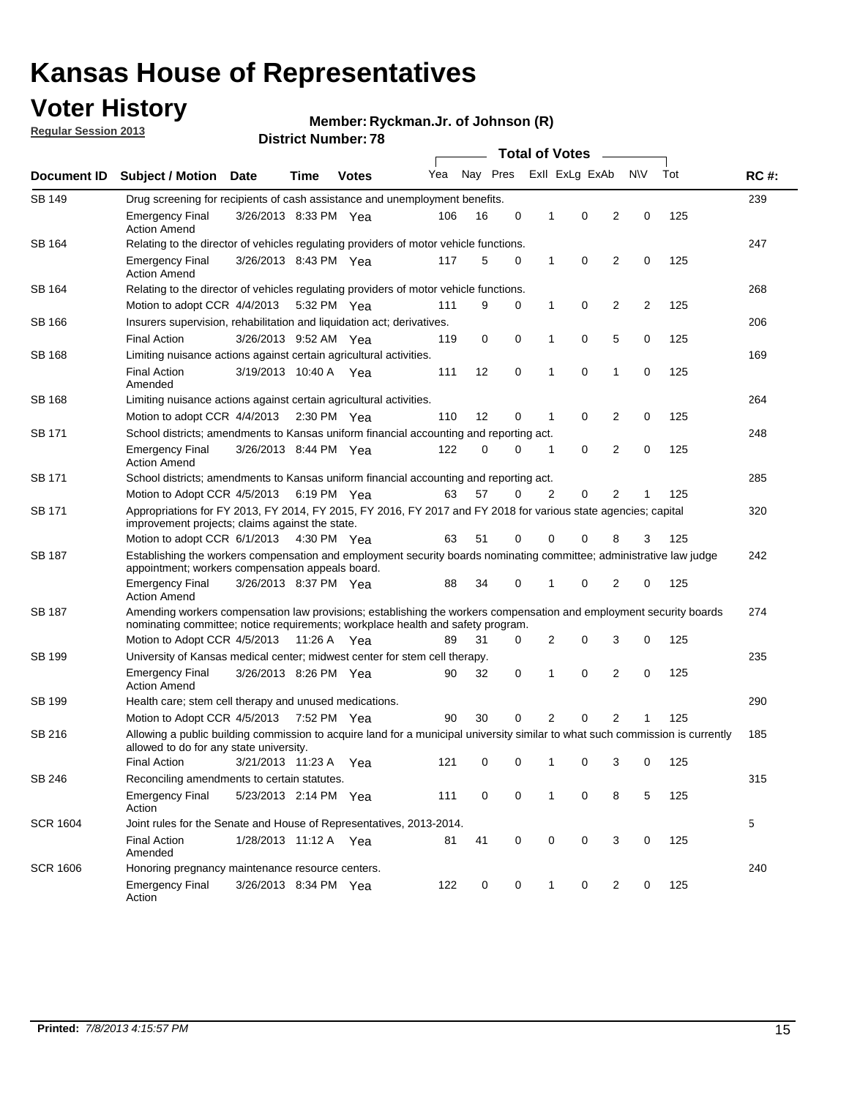## **Voter History**

**Ryckman.Jr. of Johnson (R)**

**Regular Session 2013**

|                 |                                                                                                                                                                                                       |                                                                                                                                                                         |                       |              |     |          |             | <b>Total of Votes</b> |                |                |           |     |             |
|-----------------|-------------------------------------------------------------------------------------------------------------------------------------------------------------------------------------------------------|-------------------------------------------------------------------------------------------------------------------------------------------------------------------------|-----------------------|--------------|-----|----------|-------------|-----------------------|----------------|----------------|-----------|-----|-------------|
| Document ID     | <b>Subject / Motion</b>                                                                                                                                                                               | <b>Date</b>                                                                                                                                                             | Time                  | <b>Votes</b> | Yea | Nay Pres |             |                       | Exll ExLg ExAb |                | <b>NV</b> | Tot | <b>RC#:</b> |
| SB 149          | 239<br>Drug screening for recipients of cash assistance and unemployment benefits.                                                                                                                    |                                                                                                                                                                         |                       |              |     |          |             |                       |                |                |           |     |             |
|                 | <b>Emergency Final</b><br><b>Action Amend</b>                                                                                                                                                         | 3/26/2013 8:33 PM Yea                                                                                                                                                   |                       |              | 106 | 16       | 0           | 1                     | 0              | 2              | 0         | 125 |             |
| SB 164          | Relating to the director of vehicles regulating providers of motor vehicle functions.                                                                                                                 |                                                                                                                                                                         |                       |              |     |          |             |                       |                |                |           |     | 247         |
|                 | <b>Emergency Final</b><br><b>Action Amend</b>                                                                                                                                                         | 3/26/2013 8:43 PM Yea                                                                                                                                                   |                       |              | 117 | 5        | 0           | 1                     | 0              | 2              | 0         | 125 |             |
| SB 164          | Relating to the director of vehicles regulating providers of motor vehicle functions.                                                                                                                 |                                                                                                                                                                         |                       |              |     |          |             |                       |                |                |           |     | 268         |
|                 | Motion to adopt CCR 4/4/2013 5:32 PM Yea                                                                                                                                                              |                                                                                                                                                                         |                       |              | 111 | 9        | 0           | 1                     | 0              | 2              | 2         | 125 |             |
| SB 166          | Insurers supervision, rehabilitation and liquidation act; derivatives.                                                                                                                                |                                                                                                                                                                         |                       |              |     |          |             |                       |                |                |           |     | 206         |
|                 | <b>Final Action</b>                                                                                                                                                                                   | 3/26/2013 9:52 AM Yea                                                                                                                                                   |                       |              | 119 | 0        | $\mathbf 0$ | 1                     | 0              | 5              | 0         | 125 |             |
| SB 168          | Limiting nuisance actions against certain agricultural activities.                                                                                                                                    |                                                                                                                                                                         |                       |              |     |          |             |                       |                |                |           |     | 169         |
|                 | Final Action<br>Amended                                                                                                                                                                               | 3/19/2013 10:40 A Yea                                                                                                                                                   |                       |              | 111 | 12       | 0           | 1                     | 0              | 1              | 0         | 125 |             |
| SB 168          | Limiting nuisance actions against certain agricultural activities.                                                                                                                                    |                                                                                                                                                                         |                       |              |     |          |             |                       |                |                |           |     | 264         |
|                 | Motion to adopt CCR 4/4/2013                                                                                                                                                                          |                                                                                                                                                                         | $2:30 \text{ PM}$ Yea |              | 110 | 12       | 0           | 1                     | 0              | 2              | 0         | 125 |             |
| SB 171          | School districts; amendments to Kansas uniform financial accounting and reporting act.                                                                                                                |                                                                                                                                                                         |                       |              |     |          |             |                       |                |                |           |     | 248         |
|                 | <b>Emergency Final</b><br><b>Action Amend</b>                                                                                                                                                         | 3/26/2013 8:44 PM Yea                                                                                                                                                   |                       |              | 122 | 0        | 0           | 1                     | 0              | $\overline{2}$ | 0         | 125 |             |
| SB 171          | School districts; amendments to Kansas uniform financial accounting and reporting act.                                                                                                                |                                                                                                                                                                         |                       |              |     |          |             |                       |                |                |           |     | 285         |
|                 | Motion to Adopt CCR 4/5/2013 6:19 PM Yea                                                                                                                                                              |                                                                                                                                                                         |                       |              | 63  | 57       | 0           | 2                     | 0              | 2              |           | 125 |             |
| SB 171          | Appropriations for FY 2013, FY 2014, FY 2015, FY 2016, FY 2017 and FY 2018 for various state agencies; capital<br>improvement projects; claims against the state.                                     |                                                                                                                                                                         |                       |              |     |          |             |                       |                |                |           |     | 320         |
|                 | Motion to adopt CCR 6/1/2013 4:30 PM Yea                                                                                                                                                              |                                                                                                                                                                         |                       |              | 63  | 51       | 0           | 0                     | 0              | 8              | 3         | 125 |             |
| SB 187          |                                                                                                                                                                                                       | Establishing the workers compensation and employment security boards nominating committee; administrative law judge<br>appointment; workers compensation appeals board. |                       |              |     |          |             |                       |                |                |           |     | 242         |
|                 | <b>Emergency Final</b><br><b>Action Amend</b>                                                                                                                                                         | 3/26/2013 8:37 PM Yea                                                                                                                                                   |                       |              | 88  | 34       | 0           | 1                     | 0              | 2              | 0         | 125 |             |
| SB 187          | Amending workers compensation law provisions; establishing the workers compensation and employment security boards<br>nominating committee; notice requirements; workplace health and safety program. |                                                                                                                                                                         |                       |              |     |          |             |                       |                |                |           |     | 274         |
|                 | Motion to Adopt CCR 4/5/2013 11:26 A Yea                                                                                                                                                              |                                                                                                                                                                         |                       |              | 89  | 31       | 0           | 2                     | 0              | 3              | 0         | 125 |             |
| SB 199          | University of Kansas medical center; midwest center for stem cell therapy.                                                                                                                            |                                                                                                                                                                         |                       |              |     |          |             |                       |                |                |           |     | 235         |
|                 | <b>Emergency Final</b><br><b>Action Amend</b>                                                                                                                                                         | 3/26/2013 8:26 PM Yea                                                                                                                                                   |                       |              | 90  | 32       | 0           | 1                     | 0              | 2              | 0         | 125 |             |
| SB 199          | Health care; stem cell therapy and unused medications.                                                                                                                                                |                                                                                                                                                                         |                       |              |     |          |             |                       |                |                |           |     | 290         |
|                 | Motion to Adopt CCR 4/5/2013                                                                                                                                                                          |                                                                                                                                                                         | 7:52 PM Yea           |              | 90  | 30       | 0           | 2                     | 0              | $\overline{2}$ |           | 125 |             |
| SB 216          | Allowing a public building commission to acquire land for a municipal university similar to what such commission is currently<br>allowed to do for any state university.                              |                                                                                                                                                                         |                       |              |     |          |             |                       |                |                |           |     | 185         |
|                 | <b>Final Action</b>                                                                                                                                                                                   | 3/21/2013 11:23 A                                                                                                                                                       |                       | Yea          | 121 | 0        | 0           | 1                     | 0              | 3              | 0         | 125 |             |
| SB 246          | Reconciling amendments to certain statutes.                                                                                                                                                           |                                                                                                                                                                         |                       |              |     |          |             |                       |                |                |           |     | 315         |
|                 | <b>Emergency Final</b><br>Action                                                                                                                                                                      | 5/23/2013 2:14 PM Yea                                                                                                                                                   |                       |              | 111 | 0        | 0           | 1                     | 0              | 8              | 5         | 125 |             |
| <b>SCR 1604</b> | Joint rules for the Senate and House of Representatives, 2013-2014.                                                                                                                                   |                                                                                                                                                                         |                       |              |     |          |             |                       |                |                |           |     | 5           |
|                 | <b>Final Action</b><br>Amended                                                                                                                                                                        | 1/28/2013 11:12 A Yea                                                                                                                                                   |                       |              | 81  | 41       | 0           | 0                     | 0              | 3              | 0         | 125 |             |
| <b>SCR 1606</b> | Honoring pregnancy maintenance resource centers.                                                                                                                                                      |                                                                                                                                                                         |                       |              |     |          |             |                       |                |                |           |     | 240         |
|                 | Emergency Final<br>Action                                                                                                                                                                             | 3/26/2013 8:34 PM Yea                                                                                                                                                   |                       |              | 122 | 0        | 0           | 1                     | 0              | 2              | 0         | 125 |             |